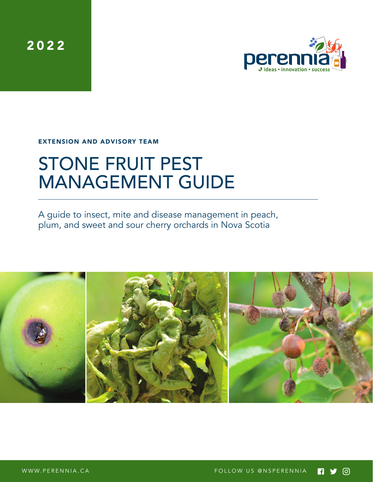2022



EXTENSION AND ADVISORY TEAM

# STONE FRUIT PEST MANAGEMENT GUIDE

A guide to insect, mite and disease management in peach, plum, and sweet and sour cherry orchards in Nova Scotia

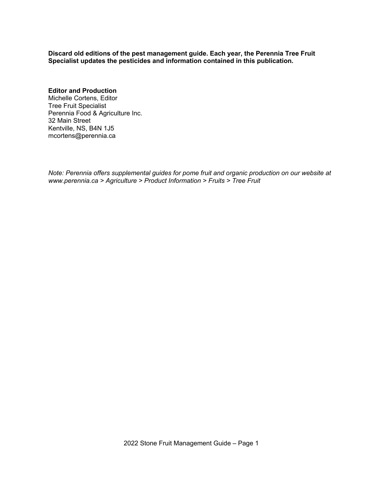**Discard old editions of the pest management guide. Each year, the Perennia Tree Fruit Specialist updates the pesticides and information contained in this publication.**

### **Editor and Production**

Michelle Cortens, Editor Tree Fruit Specialist Perennia Food & Agriculture Inc. 32 Main Street Kentville, NS, B4N 1J5 mcortens@perennia.ca

*Note: Perennia offers supplemental guides for pome fruit and organic production on our website at www.perennia.ca > Agriculture > Product Information > Fruits > Tree Fruit*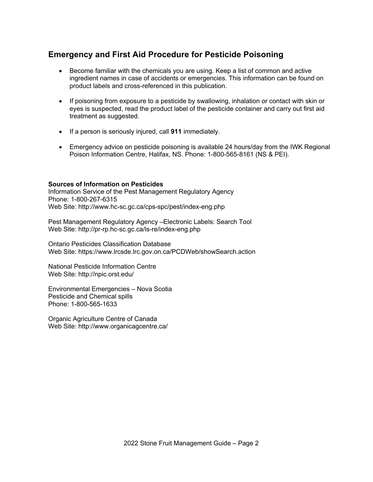### **Emergency and First Aid Procedure for Pesticide Poisoning**

- Become familiar with the chemicals you are using. Keep a list of common and active ingredient names in case of accidents or emergencies. This information can be found on product labels and cross-referenced in this publication.
- If poisoning from exposure to a pesticide by swallowing, inhalation or contact with skin or eyes is suspected, read the product label of the pesticide container and carry out first aid treatment as suggested.
- If a person is seriously injured, call **911** immediately.
- Emergency advice on pesticide poisoning is available 24 hours/day from the IWK Regional Poison Information Centre, Halifax, NS. Phone: 1-800-565-8161 (NS & PEI).

### **Sources of Information on Pesticides**

Information Service of the Pest Management Regulatory Agency Phone: 1-800-267-6315 Web Site: http://www.hc-sc.gc.ca/cps-spc/pest/index-eng.php

Pest Management Regulatory Agency –Electronic Labels: Search Tool Web Site: http://pr-rp.hc-sc.gc.ca/ls-re/index-eng.php

Ontario Pesticides Classification Database Web Site: https://www.lrcsde.lrc.gov.on.ca/PCDWeb/showSearch.action

National Pesticide Information Centre Web Site: http://npic.orst.edu/

Environmental Emergencies – Nova Scotia Pesticide and Chemical spills Phone: 1-800-565-1633

Organic Agriculture Centre of Canada Web Site: http://www.organicagcentre.ca/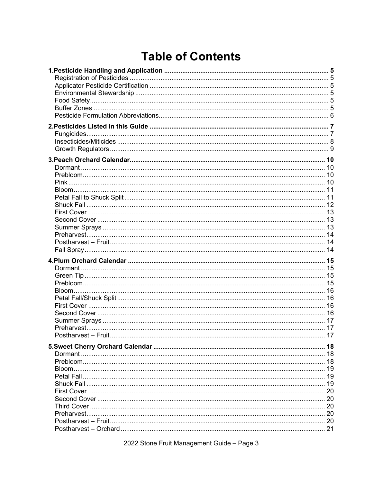## **Table of Contents**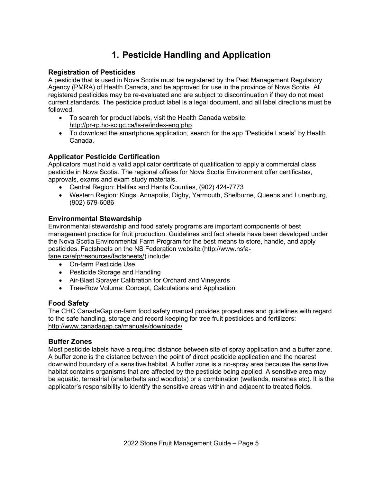## **1. Pesticide Handling and Application**

### **Registration of Pesticides**

A pesticide that is used in Nova Scotia must be registered by the Pest Management Regulatory Agency (PMRA) of Health Canada, and be approved for use in the province of Nova Scotia. All registered pesticides may be re-evaluated and are subject to discontinuation if they do not meet current standards. The pesticide product label is a legal document, and all label directions must be followed.

- To search for product labels, visit the Health Canada website: http://pr-rp.hc-sc.gc.ca/ls-re/index-eng.php
- To download the smartphone application, search for the app "Pesticide Labels" by Health Canada.

### **Applicator Pesticide Certification**

Applicators must hold a valid applicator certificate of qualification to apply a commercial class pesticide in Nova Scotia. The regional offices for Nova Scotia Environment offer certificates, approvals, exams and exam study materials.

- Central Region: Halifax and Hants Counties, (902) 424-7773
- Western Region: Kings, Annapolis, Digby, Yarmouth, Shelburne, Queens and Lunenburg, (902) 679-6086

### **Environmental Stewardship**

Environmental stewardship and food safety programs are important components of best management practice for fruit production. Guidelines and fact sheets have been developed under the Nova Scotia Environmental Farm Program for the best means to store, handle, and apply pesticides. Factsheets on the NS Federation website (http://www.nsfafane.ca/efp/resources/factsheets/) include:

• On-farm Pesticide Use

- Pesticide Storage and Handling
- Air-Blast Sprayer Calibration for Orchard and Vineyards
- Tree-Row Volume: Concept, Calculations and Application

### **Food Safety**

The CHC CanadaGap on-farm food safety manual provides procedures and guidelines with regard to the safe handling, storage and record keeping for tree fruit pesticides and fertilizers: http://www.canadagap.ca/manuals/downloads/

### **Buffer Zones**

Most pesticide labels have a required distance between site of spray application and a buffer zone. A buffer zone is the distance between the point of direct pesticide application and the nearest downwind boundary of a sensitive habitat. A buffer zone is a no-spray area because the sensitive habitat contains organisms that are affected by the pesticide being applied. A sensitive area may be aquatic, terrestrial (shelterbelts and woodlots) or a combination (wetlands, marshes etc). It is the applicator's responsibility to identify the sensitive areas within and adjacent to treated fields.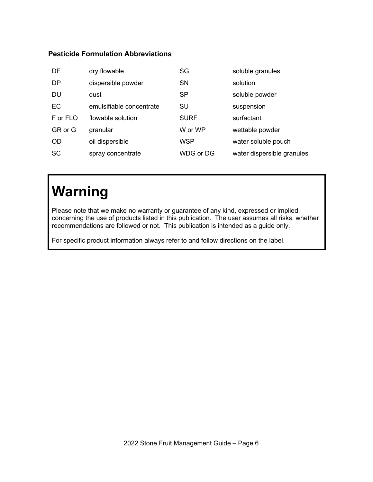### **Pesticide Formulation Abbreviations**

| DF        | dry flowable             | SG          | soluble granules           |
|-----------|--------------------------|-------------|----------------------------|
| <b>DP</b> | dispersible powder       | <b>SN</b>   | solution                   |
| <b>DU</b> | dust                     | <b>SP</b>   | soluble powder             |
| EC        | emulsifiable concentrate | SU          | suspension                 |
| F or FLO  | flowable solution        | <b>SURF</b> | surfactant                 |
| GR or G   | granular                 | W or WP     | wettable powder            |
| <b>OD</b> | oil dispersible          | WSP         | water soluble pouch        |
| <b>SC</b> | spray concentrate        | WDG or DG   | water dispersible granules |

## **Warning**

Please note that we make no warranty or guarantee of any kind, expressed or implied, concerning the use of products listed in this publication. The user assumes all risks, whether recommendations are followed or not. This publication is intended as a guide only.

For specific product information always refer to and follow directions on the label.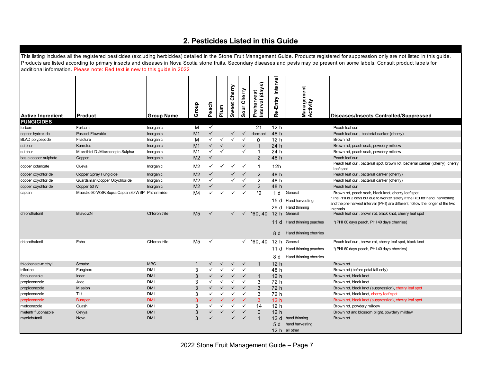## **2. Pesticides Listed in this Guide**

|                          | additional information. Please note: Red text is new to this guide in 2022 |                   |                |              |              |                 |                |                               |                          |                                                                      | This listing includes all the registered pesticides (excluding herbicides) detailed in the Stone Fruit Management Guide. Products registered for suppression only are not listed in this guide.<br>Products are listed according to primary insects and diseases in Nova Scotia stone fruits. Secondary diseases and pests may be present on some labels. Consult product labels for |
|--------------------------|----------------------------------------------------------------------------|-------------------|----------------|--------------|--------------|-----------------|----------------|-------------------------------|--------------------------|----------------------------------------------------------------------|--------------------------------------------------------------------------------------------------------------------------------------------------------------------------------------------------------------------------------------------------------------------------------------------------------------------------------------------------------------------------------------|
| <b>Active Ingredient</b> | Product                                                                    | <b>Group Name</b> | Group          | Peach        | Plum         | Cherry<br>Sweet | Cherry<br>Sour | Interval (days)<br>Preharvest | Entry Interva<br>فع<br>R | Management<br>Activity                                               | <b>Diseases/Insects Controlled/Suppressed</b>                                                                                                                                                                                                                                                                                                                                        |
| <b>FUNGICIDES</b>        |                                                                            |                   |                |              |              |                 |                |                               |                          |                                                                      |                                                                                                                                                                                                                                                                                                                                                                                      |
| ferbam                   | Ferbam                                                                     | Inorganic         | м              | $\checkmark$ |              |                 |                | 21                            | 12 h                     |                                                                      | Peach leaf curl                                                                                                                                                                                                                                                                                                                                                                      |
| copper hydroxide         | Parasol Flowable                                                           | Inorganic         | M1             | $\checkmark$ |              | $\checkmark$    | $\checkmark$   | dormant                       | 48 h                     |                                                                      | Peach leaf curl, bacterial canker (cherry)                                                                                                                                                                                                                                                                                                                                           |
| <b>BLAD</b> polypeptide  | Fracture                                                                   | Inorganic         | M              | $\checkmark$ | $\checkmark$ | ✓               | $\checkmark$   | $\Omega$                      | 12 <sub>h</sub>          |                                                                      | Brown rot                                                                                                                                                                                                                                                                                                                                                                            |
| sulphur                  | <b>Kumulus</b>                                                             | Inorganic         | M <sub>1</sub> | $\checkmark$ | $\checkmark$ |                 | ✓              | -1                            | 24 h                     |                                                                      | Brown rot, peach scab, powdery mildew                                                                                                                                                                                                                                                                                                                                                |
| sulphur                  | Microthiol D./Microscopic Sulphur                                          | Inorganic         | M1             | $\checkmark$ | $\checkmark$ |                 | ✓              | $\mathbf{1}$                  | 24 h                     |                                                                      | Brown rot, peach scab, powdery mildew                                                                                                                                                                                                                                                                                                                                                |
| basic copper sulphate    | Copper                                                                     | Inorganic         | M <sub>2</sub> | $\checkmark$ |              |                 |                | 2                             | 48 h                     |                                                                      | Peach leaf curl                                                                                                                                                                                                                                                                                                                                                                      |
| copper octanoate         | Cueva                                                                      | Inorganic         | M <sub>2</sub> | ✓            | $\checkmark$ | $\checkmark$    | $\checkmark$   | $\mathbf{1}$                  | 12h                      |                                                                      | Peach leaf curl, bacterial spot, brown rot, bacterial canker (cherry), cherry<br>leaf spot                                                                                                                                                                                                                                                                                           |
| copper oxychloride       | Copper Spray Fungicide                                                     | Inorganic         | M <sub>2</sub> | $\checkmark$ |              | $\checkmark$    | $\checkmark$   | $\overline{2}$                | 48 h                     |                                                                      | Peach leaf curl, bacterial canker (cherry)                                                                                                                                                                                                                                                                                                                                           |
| copper oxychloride       | Guardsman Copper Oxychloride                                               | Inorganic         | M <sub>2</sub> | ✓            |              | ✓               | $\checkmark$   | $\overline{2}$                | 48 h                     |                                                                      | Peach leaf curl, bacterial canker (cherry)                                                                                                                                                                                                                                                                                                                                           |
| copper oxychloride       | Copper 53 W                                                                | Inorganic         | M <sub>2</sub> | $\checkmark$ |              |                 | ✓              | $\overline{2}$                | 48 h                     |                                                                      | Peach leaf curl                                                                                                                                                                                                                                                                                                                                                                      |
| captan                   | Maestro 80 WSP/Supra Captan 80 WSP Phthalimide                             |                   | M4             | ℳ            |              | ✓               | $\checkmark$   | *2                            | 1 d                      | General<br>15 d Hand harvesting<br>29 d Hand thinning                | Brown rot, peach scab, black knot, cherry leaf spot<br>" I he PHI is 2 days but due to worker satety it the RLI for hand harvesting<br>and the pre-harvest interval (PHI) are different, follow the longer of the two<br>intervals.                                                                                                                                                  |
| chlorothalonil           | Bravo ZN                                                                   | Chloronitrile     | M <sub>5</sub> | ✓            |              | $\checkmark$    | $\checkmark$   | $*60, 40$                     | 8 d                      | 12 h General<br>11 d Hand thinning peaches<br>Hand thinning cherries | Peach leaf curl, brown rot, black knot, cherry leaf spot<br>*(PHI 60 days peach, PHI 40 days cherries)                                                                                                                                                                                                                                                                               |
| chlorothalonil           | Echo                                                                       | Chloronitrile     | M <sub>5</sub> | $\checkmark$ |              |                 |                | $\times$ *60, 40              |                          | 12 h General                                                         | Peach leaf curl, brown rot, cherry leaf spot, black knot                                                                                                                                                                                                                                                                                                                             |
|                          |                                                                            |                   |                |              |              |                 |                |                               | 11 d                     | Hand thinning peaches                                                | *(PHI 60 days peach, PHI 40 days cherries)                                                                                                                                                                                                                                                                                                                                           |
|                          |                                                                            |                   |                |              |              |                 |                |                               | 8 d                      | Hand thinning cherries                                               |                                                                                                                                                                                                                                                                                                                                                                                      |
| thiophanate-methyl       | Senator                                                                    | <b>MBC</b>        | $\mathbf{1}$   | $\checkmark$ |              | $\checkmark$    | $\checkmark$   | $\mathbf{1}$                  | 12 <sub>h</sub>          |                                                                      | Brown rot                                                                                                                                                                                                                                                                                                                                                                            |
| triforine                | Funginex                                                                   | <b>DMI</b>        | 3              | ✓            |              | ✓               | $\checkmark$   |                               | 48 h                     |                                                                      | Brown rot (before petal fall only)                                                                                                                                                                                                                                                                                                                                                   |
| fenbucanzole             | Indar                                                                      | <b>DMI</b>        | 3              |              |              | ✓               | $\checkmark$   | -1                            | 12 <sub>h</sub>          |                                                                      | Brown rot, black knot                                                                                                                                                                                                                                                                                                                                                                |
| propiconazole            | Jade                                                                       | DMI               | 3              | ✓            | $\checkmark$ | ✓               | $\checkmark$   | 3                             | 72 h                     |                                                                      | Brown rot, black knot                                                                                                                                                                                                                                                                                                                                                                |
| propiconazole            | Mission                                                                    | <b>DMI</b>        | 3              |              |              | $\checkmark$    | $\checkmark$   | 3                             | 72 h                     |                                                                      | Brown rot, black knot (suppression), cherry leaf spot                                                                                                                                                                                                                                                                                                                                |
| propiconazole            | Tilt                                                                       | <b>DMI</b>        | 3              | ✓            |              | ✓               | $\checkmark$   | 3                             | 72 h                     |                                                                      | Brown rot, black knot, cherry leaf spot                                                                                                                                                                                                                                                                                                                                              |
| propiconazole            | <b>Bumper</b>                                                              | <b>DMI</b>        | 3              |              |              | ✓               | $\checkmark$   | 3                             | 12 <sub>h</sub>          |                                                                      | Brown rot, black knot (suppression), cherry leaf spot                                                                                                                                                                                                                                                                                                                                |
| metconazole              | Quash                                                                      | <b>DMI</b>        | 3              | ✓            |              | ✓               | $\checkmark$   | 14                            | 12 <sub>h</sub>          |                                                                      | Brown rot, powdery mildew                                                                                                                                                                                                                                                                                                                                                            |
| mefentrifluconazole      | Cevya                                                                      | <b>DMI</b>        | 3              |              | $\checkmark$ | ✓               | $\checkmark$   | $\mathbf 0$                   | 12 <sub>h</sub>          |                                                                      | Brown rot and blossom blight, powdery mildew                                                                                                                                                                                                                                                                                                                                         |
| myclobutanil             | Nova                                                                       | <b>DMI</b>        | 3              |              |              |                 | $\checkmark$   | $\mathbf 1$                   | 12d<br>5 d               | hand thinning<br>hand harvesting<br>12 h all other                   | Brown rot                                                                                                                                                                                                                                                                                                                                                                            |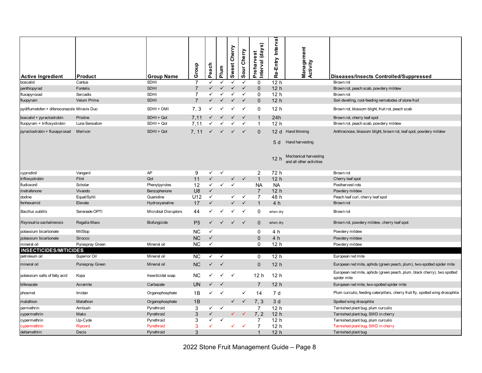| <b>Active Ingredient</b><br>boscalid        | <b>Product</b><br>Cantus | <b>Group Name</b><br><b>SDHI</b> | Group                 | Peach                        | Plum         | Sweet Cherry | Cherry<br>Sour | $\widehat{\boldsymbol{\mathfrak{g}}}$<br>Interval (day<br>Preharvest<br>$\Omega$ | Re-Entry Interval<br>12h | Management<br>Activity                                         | Diseases/Insects Controlled/Suppressed<br>Brown rot                                     |
|---------------------------------------------|--------------------------|----------------------------------|-----------------------|------------------------------|--------------|--------------|----------------|----------------------------------------------------------------------------------|--------------------------|----------------------------------------------------------------|-----------------------------------------------------------------------------------------|
| penthiopyrad                                | Fontelis                 | <b>SDHI</b>                      | $\overline{7}$        | ✓                            | ✓            | ✓            | $\checkmark$   | $\Omega$                                                                         | 12 <sub>h</sub>          |                                                                | Brown rot, peach scab, powdery mildew                                                   |
| fluxapyroxad                                | Sercadis                 | <b>SDHI</b>                      | $\overline{7}$        | ✓                            |              | $\checkmark$ | $\checkmark$   | $\mathbf 0$                                                                      | 12 <sub>h</sub>          |                                                                | Brown rot                                                                               |
| fluopyram                                   | Velum Prime              | <b>SDHI</b>                      | $\overline{7}$        | ✓                            |              | $\checkmark$ | ✓              | $\mathbf 0$                                                                      | 12 <sub>h</sub>          |                                                                | Soil-dwelling, root-feeding nematodes of stone fruit                                    |
| pydiflumetofen + difenoconazole Miravis Duo |                          | SDHI + DMI                       | 7, 3                  |                              |              |              | $\checkmark$   | $\Omega$                                                                         | 12 <sub>h</sub>          |                                                                | Brown rot, blossom blight, fruit rot, peach scab                                        |
| boscalid + pyraclostrobin                   | Pristine                 | SDHI + Qol                       | 7.11                  | ✓                            |              | $\checkmark$ | $\checkmark$   | $\mathbf{1}$                                                                     | 24h                      |                                                                | Brown rot, cherry leaf spot                                                             |
| fluopyram + trifloxystrobin                 | Luna Sensation           | SDHI + Qol                       | 7,11                  | ✓                            |              | ✓            | ✓              | $\mathbf{1}$                                                                     | 12 <sub>h</sub>          |                                                                | Brown rot, peach scab, powdery mildew                                                   |
| pyraclostrobin + fluxapyroxad               | Merivon                  | SDHI + Qol                       | 7.11                  |                              |              |              | $\checkmark$   | $\Omega$                                                                         | 5 d<br>12 h              | 12 d Hand thinning<br>Hand harvesting<br>Mechanical harvesting | Anthracnose, blossom blight, brown rot, leaf spot, powdery mildew                       |
|                                             |                          |                                  |                       |                              |              |              |                |                                                                                  |                          | and all other activities                                       |                                                                                         |
| cyprodinil                                  | Vangard                  | AP                               | 9                     | $\checkmark$                 | $\checkmark$ |              |                | $\overline{2}$                                                                   | 72 h                     |                                                                | Brown rot                                                                               |
| trifloxystrobin                             | Flint                    | Qol                              | 11                    | $\checkmark$                 |              | $\checkmark$ | $\checkmark$   | $\mathbf{1}$                                                                     | 12 <sub>h</sub>          |                                                                | Cherry leaf spot                                                                        |
| fludioxonil                                 | Scholar                  | Phenylpyroles                    | 12                    | $\checkmark$<br>$\checkmark$ | $\checkmark$ | $\checkmark$ |                | <b>NA</b>                                                                        | <b>NA</b>                |                                                                | Postharvest rots                                                                        |
| metrafenone<br>dodine                       | Vivando                  | Benzophenone<br>Guanidine        | U <sub>8</sub><br>U12 | $\checkmark$                 |              | $\checkmark$ | $\checkmark$   | $\overline{7}$<br>$\overline{7}$                                                 | 12 <sub>h</sub><br>48 h  |                                                                | Powdery mildew                                                                          |
| fenhexamid                                  | Equal/Syllit<br>Elevate  | Hydroxyanaline                   | 17                    | $\checkmark$                 |              | $\checkmark$ | $\checkmark$   | $\mathbf{1}$                                                                     | 4 h                      |                                                                | Peach leaf curl, cherry leaf spot<br>Brown rot                                          |
|                                             |                          |                                  |                       |                              |              |              |                |                                                                                  |                          |                                                                |                                                                                         |
| <b>Bacillus subtilis</b>                    | Serenade OPTI            | <b>Microbial Disruptors</b>      | 44                    | ✓                            |              |              | ✓              | 0                                                                                | when dry                 |                                                                | Brown rot                                                                               |
| Reynoutria sachalinensis                    | Regalia Maxx             | Biofungicide                     | P <sub>5</sub>        | ✓                            | $\checkmark$ | $\checkmark$ | $\checkmark$   | $\mathbf 0$                                                                      | when dry                 |                                                                | Brown rot, powdery mildew, cherry leaf spot                                             |
| potassium bicarbonate                       | MilStop                  |                                  | NC.                   | $\checkmark$                 |              |              |                | 0                                                                                | 4 h                      |                                                                | Powdery mildew                                                                          |
| potassium bicarbonate                       | Sirocco                  |                                  | <b>NC</b>             | $\checkmark$                 |              |              |                | $\mathbf 0$                                                                      | 4 h                      |                                                                | Powdery mildew                                                                          |
| mineral oil                                 | Purespray Green          | Mineral oil                      | NC.                   | $\checkmark$                 |              |              |                | $\Omega$                                                                         | 12 <sub>h</sub>          |                                                                | Powdery mildew                                                                          |
| <b>INSECTICIDES/MITICIDES</b>               |                          |                                  |                       |                              |              |              |                |                                                                                  |                          |                                                                |                                                                                         |
| petroleum oil                               | Superior Oil             | Mineral oil                      | NC.                   | $\checkmark$                 | $\checkmark$ |              |                | 0                                                                                | 12 <sub>h</sub>          |                                                                | European red mite                                                                       |
| mineral oil                                 | Purespray Green          | Mineral oil                      | <b>NC</b>             | ✓                            | $\checkmark$ |              |                | $\Omega$                                                                         | 12h                      |                                                                | European red mite, aphids (green peach, plum), two-spotted spider mite                  |
| potassium salts of fatty acid               | Kopa                     | Insecticidal soap                | NC.                   |                              |              | $\checkmark$ |                | 12 <sub>h</sub>                                                                  | 12 h                     |                                                                | European red mite, aphids (green peach, plum, black cherry), two spotted<br>spider mite |
| bifenazate                                  | Acramite                 | Carbazate                        | <b>UN</b>             | ✓                            |              |              |                | $\overline{7}$                                                                   | 12 <sub>h</sub>          |                                                                | European red mite, two-spotted spider mite                                              |
| phosmet                                     | Imidan                   | Organophosphate                  | 1B                    | ✓                            | $\checkmark$ |              | ✓              | 14                                                                               | 7 d                      |                                                                | Plum curculio, feeding caterpillars, cherry fruit fly, spotted wing drosophila          |
| malathion                                   | Malathion                | Organophosphate                  | 1B                    |                              |              | $\checkmark$ | $\checkmark$   | 7.3                                                                              | 3d                       |                                                                | Spotted wing drosophila                                                                 |
| permethrin                                  | Ambush                   | Pyrethroid                       | 3                     | $\checkmark$                 | $\checkmark$ |              |                | $\overline{7}$                                                                   | 12 <sub>h</sub>          |                                                                | Tarnished plant bug, plum curculio                                                      |
| cypermethrin                                | Mako                     | Pyrethroid                       | $\sqrt{3}$            | ✓                            |              | $\checkmark$ | $\sqrt{2}$     | 7, 2                                                                             | 12 <sub>h</sub>          |                                                                | Tarnished plant bug, SWD in cherry                                                      |
| cypermethrin                                | Up-Cyde                  | Pyrethroid                       | 3                     | ✓                            |              |              |                | 7                                                                                | 12 <sub>h</sub>          |                                                                | Tarnished plant bug, plum curculio                                                      |
| cypermethrin                                | Ripcord                  | Pyrethroid                       | 3                     | ✓                            |              | ✓            | $\checkmark$   | $\overline{7}$                                                                   | 12 <sub>h</sub>          |                                                                | Tarnished plant bug, SWD in cherry                                                      |
| deltamethrin                                | Decis                    | Pyrethroid                       | 3                     |                              |              |              |                | $\mathbf{1}$                                                                     | 12 <sub>h</sub>          |                                                                | Tarnished plant bug                                                                     |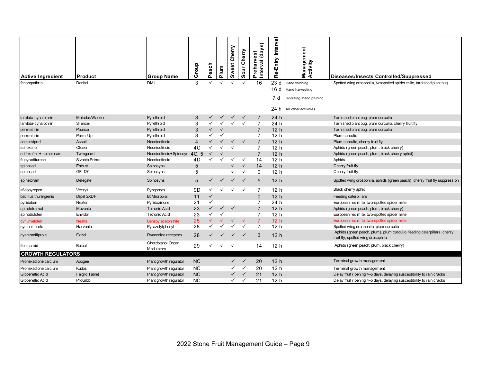| <b>Active Ingredient</b> | Product         | <b>Group Name</b>               | Group                   | Peach        | Plum         | Cherry<br>Sweet | Cherry<br>ă<br>ဖာ | Interval (days)<br>est<br>Prehary | Interval<br>Re-Entry | Management<br>Activity | <b>Diseases/Insects Controlled/Suppressed</b>                                                                 |
|--------------------------|-----------------|---------------------------------|-------------------------|--------------|--------------|-----------------|-------------------|-----------------------------------|----------------------|------------------------|---------------------------------------------------------------------------------------------------------------|
| fenpropathrin            | Danitol         | <b>DMI</b>                      | 3                       |              |              |                 |                   | 16                                | 23d                  | Hand thinning          | Spotted wing drosophila, twospotted spider mite, tarnished plant bug                                          |
|                          |                 |                                 |                         |              |              |                 |                   |                                   | 16d                  | Hand harvesting        |                                                                                                               |
|                          |                 |                                 |                         |              |              |                 |                   |                                   | 7 d                  | Scouting, hand pruning |                                                                                                               |
|                          |                 |                                 |                         |              |              |                 |                   |                                   | 24 h                 | All other activities   |                                                                                                               |
| lambda-cyhalothrin       | Matador/Warrior | Pyrethroid                      | 3                       |              |              | ✓               | $\checkmark$      | $\overline{7}$                    | 24 h                 |                        | Tarnished plant bug, plum curculio                                                                            |
| lambda-cyhalothrin       | Silencer        | Pyrethroid                      | 3                       |              |              |                 | $\checkmark$      | $\overline{7}$                    | 24 h                 |                        | Tarnished plant bug, plum curculio, cherry fruit fly                                                          |
| permethrin               | Pounce          | Pyrethroid                      | 3                       |              |              |                 |                   | $\overline{7}$                    | 12 <sub>h</sub>      |                        | Tarnished plant bug, plum curculio                                                                            |
| permethrin               | Perm-Up         | Pyrethroid                      | 3                       | ✓            | $\checkmark$ |                 |                   | $\overline{7}$                    | 12 <sub>h</sub>      |                        | Plum curculio                                                                                                 |
| acetamiprid              | Assail          | Neonicotinoid                   | $\overline{\mathbf{4}}$ |              |              | $\checkmark$    | $\checkmark$      | $\overline{7}$                    | 12 <sub>h</sub>      |                        | Plum curculio, cherry fruit fly                                                                               |
| sulfoxaflor              | Closer          | Neonicotinoid                   | 4C                      |              |              | ✓               |                   | 7                                 | 12 <sub>h</sub>      |                        | Aphids (green peach, plum, black cherry)                                                                      |
| sulfoxaflor + spinetoram | Twinguard       | Neonicotinoid+Spinosyn 4C.5     |                         |              |              |                 |                   | $\overline{7}$                    | 12 <sub>h</sub>      |                        | Aphids (green peach, plum, black cherry aphid)                                                                |
| flupyradifurone          | Sivanto Prime   | Neonicotinoid                   | 4D                      |              |              | ✓               | $\checkmark$      | 14                                | 12 <sub>h</sub>      |                        | Aphids                                                                                                        |
| spinosad                 | Entrust         | Spinosyns                       | 5                       |              |              | $\checkmark$    | $\checkmark$      | 14                                | 12 <sub>h</sub>      |                        | Cherry fruit fly                                                                                              |
| spinosad                 | GF-120          | Spinosyns                       | 5                       |              |              | ✓               | $\checkmark$      | $\Omega$                          | 12 <sub>h</sub>      |                        | Cherry fruit fly                                                                                              |
| spinetoram               | Delegate        | Spinosyns                       | 5                       |              | $\checkmark$ | $\checkmark$    | $\checkmark$      | 5                                 | 12 <sub>h</sub>      |                        | Spotted wing drosophila, aphids (green peach), cherry fruit fly suppression                                   |
| afidopyropen             | Versys          | Pyropenes                       | 9D                      |              |              | $\checkmark$    | $\checkmark$      | $\overline{7}$                    | 12 <sub>h</sub>      |                        | Black cherry aphid                                                                                            |
| bacillus thuringienis    | Dipel 2XDF      | <b>Bt Microbial</b>             | 11                      |              |              |                 |                   | $\mathbf{0}$                      | 12 <sub>h</sub>      |                        | Feeding caterpillars                                                                                          |
| pyridaben                | Nexter          | Pyridazinone                    | 21                      | ✓            |              |                 |                   | $\overline{7}$                    | 24 h                 |                        | European red mite, two-spotted spider mite                                                                    |
| spirotetramat            | Movento         | <b>Tetronic Acid</b>            | 23                      | $\checkmark$ | $\checkmark$ | $\checkmark$    |                   | $\overline{7}$                    | 12 <sub>h</sub>      |                        | Aphids (green peach, plum, black cherry)                                                                      |
| spirodiclofen            | Envidor         | <b>Tetronic Acid</b>            | 23                      |              |              |                 |                   | $\overline{7}$                    | 12 <sub>h</sub>      |                        | European red mite, two-spotted spider mite                                                                    |
| cyflumetofen             | <b>Nealta</b>   | Benzoylacetonitrile             | 25                      |              |              |                 |                   | $\overline{7}$                    | 12 <sub>h</sub>      |                        | European red mite, two-spotted spider mite                                                                    |
| cyclaniliprole           | Harvanta        | Pyrazolylphenyl                 | 28                      |              |              | ✓               | $\checkmark$      | $\overline{7}$                    | 12 <sub>h</sub>      |                        | Spotted wing drosophila, plum curculio                                                                        |
| cyantraniliprole         | Exirel          | Ryanodine receptors             | 28                      |              |              | ✓               | $\checkmark$      | 3                                 | 12 <sub>h</sub>      |                        | Aphids (green peach, plum), plum curculio, feeding caterpillars, cherry<br>fruit fly, spotted wing drosophila |
| flonicamid               | <b>Beleaf</b>   | Chordotanol Organ<br>Modulators | 29                      | ✓            |              | $\checkmark$    |                   | 14                                | 12 <sub>h</sub>      |                        | Aphids (green peach, plum, black cherry)                                                                      |
| <b>GROWTH REGULATORS</b> |                 |                                 |                         |              |              |                 |                   |                                   |                      |                        |                                                                                                               |
| Prohexadione calcium     | Apogee          | Plant growth regulator          | <b>NC</b>               |              |              | $\checkmark$    | $\checkmark$      | 20                                | 12 <sub>h</sub>      |                        | Terminal growth management                                                                                    |
| Prohexadione calcium     | Kudos           | Plant growth regulator          | <b>NC</b>               |              |              | ✓               | $\checkmark$      | 20                                | 12 <sub>h</sub>      |                        | Terminal growth management                                                                                    |
| Gibberellic Acid         | Falgro Tablet   | Plant growth regulator          | <b>NC</b>               |              |              | $\checkmark$    | $\checkmark$      | 21                                | 12 <sub>h</sub>      |                        | Delay fruit ripening 4-5 days, delaying susceptibility to rain cracks                                         |
| Gibberellic Acid         | ProGibb         | Plant growth regulator          | <b>NC</b>               |              |              | ✓               | $\checkmark$      | 21                                | 12 <sub>h</sub>      |                        | Delay fruit ripening 4-5 days, delaying susceptibility to rain cracks                                         |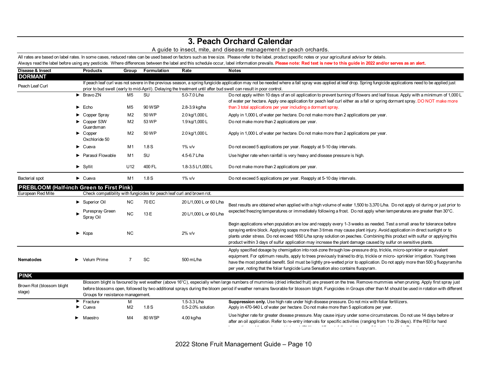### **3. Peach Orchard Calendar**

### A guide to insect, mite, and disease management in peach orchards.

All rates are based on label rates. In some cases, reduced rates can be used based on factors such as tree size. Please refer to the label, product specific notes or your agricultural advisor for details. Always read the label before using any pesticide. Where differences between the label and this schedule occur, label information prevails. Please note: Red text is new to this guide in 2022 and/or serves as an alert.

| Disease & Insect                                |                                                                                                                                                                                                                                                                                                                                    | <b>Products</b>                                                        | Group                                                            | Formulation                                                               | Rate                    | <b>Notes</b>                                                                                                                                                                                                                                                                                                                                                                                                                                                                                             |  |  |  |  |  |
|-------------------------------------------------|------------------------------------------------------------------------------------------------------------------------------------------------------------------------------------------------------------------------------------------------------------------------------------------------------------------------------------|------------------------------------------------------------------------|------------------------------------------------------------------|---------------------------------------------------------------------------|-------------------------|----------------------------------------------------------------------------------------------------------------------------------------------------------------------------------------------------------------------------------------------------------------------------------------------------------------------------------------------------------------------------------------------------------------------------------------------------------------------------------------------------------|--|--|--|--|--|
| <b>DORMANT</b>                                  |                                                                                                                                                                                                                                                                                                                                    |                                                                        |                                                                  |                                                                           |                         |                                                                                                                                                                                                                                                                                                                                                                                                                                                                                                          |  |  |  |  |  |
| Peach Leaf Curl                                 | If peach leaf curl was not severe in the previous season, a spring fungicide application may not be needed where a fall spray was applied at leaf drop. Spring fungicide applications need to be applied just<br>prior to bud swell (early to mid-April). Delaying the treatment until after bud swell can result in poor control. |                                                                        |                                                                  |                                                                           |                         |                                                                                                                                                                                                                                                                                                                                                                                                                                                                                                          |  |  |  |  |  |
|                                                 |                                                                                                                                                                                                                                                                                                                                    | $\triangleright$ Bravo ZN                                              | M <sub>5</sub>                                                   | SU                                                                        | 5.0-7.0 L/ha            | Do not apply within 10 days of an oil application to prevent burning of flowers and leaf tissue. Apply with a minimum of 1,000 L<br>of water per hectare. Apply one application for peach leaf curl either as a fall or spring dormant spray. DO NOT make more                                                                                                                                                                                                                                           |  |  |  |  |  |
|                                                 |                                                                                                                                                                                                                                                                                                                                    | $\blacktriangleright$ Echo                                             | M5                                                               | 90 WSP                                                                    | 2.8-3.9 kg/ha           | than 3 total applications per year including a dormant spray.                                                                                                                                                                                                                                                                                                                                                                                                                                            |  |  |  |  |  |
|                                                 |                                                                                                                                                                                                                                                                                                                                    | Copper Spray                                                           | M <sub>2</sub>                                                   | 50 WP                                                                     | 2.0 kg/1,000 L          | Apply in 1,000 L of water per hectare. Do not make more than 2 applications per year.                                                                                                                                                                                                                                                                                                                                                                                                                    |  |  |  |  |  |
|                                                 |                                                                                                                                                                                                                                                                                                                                    | Copper 53W<br>Guardsman                                                | M <sub>2</sub><br>53 WP<br>1.9 kg/1,000 L                        |                                                                           |                         | Do not make more than 2 applications per year.                                                                                                                                                                                                                                                                                                                                                                                                                                                           |  |  |  |  |  |
|                                                 |                                                                                                                                                                                                                                                                                                                                    | $\blacktriangleright$ Copper<br>Oxchloride 50                          | M <sub>2</sub>                                                   | 50 WP                                                                     | 2.0 kg/1,000 L          | Apply in 1,000 L of water per hectare. Do not make more than 2 applications per year.                                                                                                                                                                                                                                                                                                                                                                                                                    |  |  |  |  |  |
|                                                 |                                                                                                                                                                                                                                                                                                                                    | $\blacktriangleright$ Cueva                                            | M1                                                               | 1.8S                                                                      | $1\%$ v/v               | Do not exceed 5 applications per year. Reapply at 5-10 day intervals.                                                                                                                                                                                                                                                                                                                                                                                                                                    |  |  |  |  |  |
|                                                 | <b>SU</b><br>▶ Parasol Flowable<br>M1<br>4.5-6.7 L/ha                                                                                                                                                                                                                                                                              |                                                                        |                                                                  | Use higher rate when rainfall is very heavy and disease pressure is high. |                         |                                                                                                                                                                                                                                                                                                                                                                                                                                                                                                          |  |  |  |  |  |
|                                                 |                                                                                                                                                                                                                                                                                                                                    | $\blacktriangleright$ Syllit                                           | U <sub>12</sub>                                                  | 400 FL                                                                    | 1.8-3.5 L/1,000 L       | Do not make more than 2 applications per year.                                                                                                                                                                                                                                                                                                                                                                                                                                                           |  |  |  |  |  |
| Bacterial spot                                  |                                                                                                                                                                                                                                                                                                                                    | $\blacktriangleright$ Cueva                                            | M1                                                               | 1.8S                                                                      | $1\%$ v/v               | Do not exceed 5 applications per year. Reapply at 5-10 day intervals.                                                                                                                                                                                                                                                                                                                                                                                                                                    |  |  |  |  |  |
| <b>PREBLOOM (Half-inch Green to First Pink)</b> |                                                                                                                                                                                                                                                                                                                                    |                                                                        |                                                                  |                                                                           |                         |                                                                                                                                                                                                                                                                                                                                                                                                                                                                                                          |  |  |  |  |  |
| European Red Mite                               |                                                                                                                                                                                                                                                                                                                                    | Check compatibility with fungicides for peach leaf curl and brown rot. |                                                                  |                                                                           |                         |                                                                                                                                                                                                                                                                                                                                                                                                                                                                                                          |  |  |  |  |  |
|                                                 |                                                                                                                                                                                                                                                                                                                                    | Superior Oil                                                           | <b>NC</b><br>70 EC                                               |                                                                           | 20 L/1,000 L or 60 L/ha | Best results are obtained when applied with a high volume of water 1,500 to 3,370 L/ha. Do not apply oil during or just prior to                                                                                                                                                                                                                                                                                                                                                                         |  |  |  |  |  |
|                                                 |                                                                                                                                                                                                                                                                                                                                    | Purespray Green<br>Spray Oil                                           | <b>NC</b>                                                        | 13 E                                                                      | 20 L/1,000 L or 60 L/ha | expected freezing temperatures or immediately following a frost. Do not apply when temperatures are greater than 30°C.                                                                                                                                                                                                                                                                                                                                                                                   |  |  |  |  |  |
|                                                 |                                                                                                                                                                                                                                                                                                                                    | $\blacktriangleright$ Kopa                                             | <b>NC</b>                                                        |                                                                           | $2\%$ v/v               | Begin applications when population are low and reapply every 1-3 weeks as needed. Test a small area for tolerance before<br>spraying entire block. Applying soaps more than 3 times may cause plant injury. Avoid application in direct sunlight or to<br>plants under stress. Do not exceed 1650 L/ha spray solution on peaches. Combining this product with sulfur or applying this<br>product within 3 days of sulfur application may increase the plant damage caused by sulfur on sensitive plants. |  |  |  |  |  |
| Nematodes                                       |                                                                                                                                                                                                                                                                                                                                    | Velum Prime                                                            | $\overline{7}$                                                   | SC                                                                        | 500 mL/ha               | Apply specified dosage by chemigation into root-zone through low-pressure drip, trickle, micro-sprinkler or equivalent<br>equipment. For optimum results, apply to trees previously trained to drip, trickle or micro-sprinkler irrigation. Young trees<br>have the most potential benefit. Soil must be lightly pre-wetted prior to application. Do not apply more than 500 g fluopyram/ha<br>per year, noting that the foliar fungicide Luna Sensation also contains fluopyram.                        |  |  |  |  |  |
| <b>PINK</b>                                     |                                                                                                                                                                                                                                                                                                                                    |                                                                        |                                                                  |                                                                           |                         |                                                                                                                                                                                                                                                                                                                                                                                                                                                                                                          |  |  |  |  |  |
| Brown Rot (blossom blight<br>stage)             |                                                                                                                                                                                                                                                                                                                                    | Groups for resistance management.                                      |                                                                  |                                                                           |                         | Blossom blight is favoured by wet weather (above 16°C), especially when large numbers of mummies (dried infected fruit) are present on the tree. Remove mummies when pruning. Apply first spray just<br>before blossoms open, followed by two additional sprays during the bloom period if weather remains favorable for blossom blight. Fungicides in Groups other than M should be used in rotation with different                                                                                     |  |  |  |  |  |
|                                                 |                                                                                                                                                                                                                                                                                                                                    | $\blacktriangleright$ Fracture<br>$\blacktriangleright$ Cueva          | 1.5-3.3 L/ha<br>M<br>1.8S<br>0.5-2.0% solution<br>M <sub>2</sub> |                                                                           |                         | Suppression only. Use high rate under high disease pressure. Do not mix with foliar fertilizers.<br>Apply in 470-940 L of water per hectare. Do not make more than 5 applications per year.                                                                                                                                                                                                                                                                                                              |  |  |  |  |  |
|                                                 |                                                                                                                                                                                                                                                                                                                                    | • Maestro                                                              | M4                                                               | 80 WSP                                                                    | 4.00 kg/ha              | Use higher rate for greater disease pressure. May cause injury under some circumstances. Do not use 14 days before or<br>after an oil application. Refer to re-entry intervals for specific activities (ranging from 1 to 29 days). If the REI for hand                                                                                                                                                                                                                                                  |  |  |  |  |  |

harvesting and the pre-harvest interval (PHI) are different, follow the longer of the two intervals. Do not apply more than one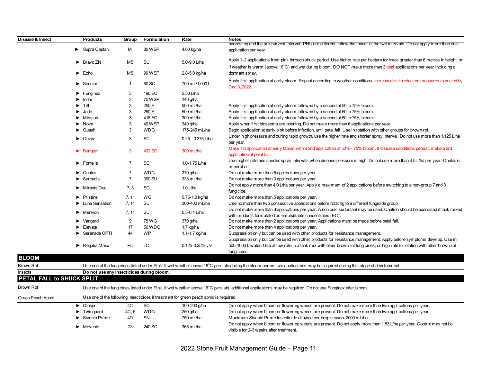| Disease & Insect          | <b>Products</b>                           | Group          | Formulation   | Rate                                                                                  | <b>Notes</b>                                                                                                                                                                |
|---------------------------|-------------------------------------------|----------------|---------------|---------------------------------------------------------------------------------------|-----------------------------------------------------------------------------------------------------------------------------------------------------------------------------|
|                           |                                           |                |               |                                                                                       | harvesting and the pre-harvest interval (PHI) are different, follow the longer of the two intervals. Do not apply more than one                                             |
|                           | Supra Captan                              | M              | 80 WSP        | 4.00 kg/ha                                                                            | application per year.                                                                                                                                                       |
|                           | $\triangleright$ Bravo ZN                 | M5             | SU            | 5.0-9.0 L/ha                                                                          | Apply 1-2 applications from pink through shuck period. Use higher rate per hectare for trees greater than 6 metres in height, or                                            |
|                           |                                           |                |               |                                                                                       | if weather is warm (above 16°C) and wet during bloom. DO NOT make more than 3 total applications per year including a                                                       |
|                           | $\blacktriangleright$ Echo                | M <sub>5</sub> | 90 WSP        | 2.8-5.0 kg/ha                                                                         | dormant spray.                                                                                                                                                              |
|                           |                                           |                |               |                                                                                       | Apply first application at early bloom. Repeat according to weather conditions. Increased risk reduction measures expected by                                               |
|                           | Senator<br>▶                              | $\mathbf{1}$   | 50 SC         | 700 mL/1,000 L                                                                        | Dec 3, 2022.                                                                                                                                                                |
|                           | Funginex                                  | 3              | 190 EC        | 2.50 L/ha                                                                             |                                                                                                                                                                             |
|                           | $\blacktriangleright$ Indar               | $\sqrt{3}$     | <b>75 WSP</b> | 140 g/ha                                                                              |                                                                                                                                                                             |
|                           | Tilt                                      | 3              | 250 E         | 500 mL/ha                                                                             | Apply first application at early bloom followed by a second at 50 to 75% bloom.                                                                                             |
|                           | Jade                                      | 3              | 250 E         | 500 mL/ha                                                                             | Apply first application at early bloom followed by a second at 50 to 75% bloom.                                                                                             |
|                           | $\blacktriangleright$ Mission             | 3              | 418 EC        | 300 mL/ha                                                                             | Apply first application at early bloom followed by a second at 50 to 75% bloom.                                                                                             |
|                           | $\blacktriangleright$ Nova                | 3              | <b>40 WSP</b> | 340 g/ha                                                                              | Apply when first blossoms are opening. Do not make more than 6 applications per year.                                                                                       |
|                           | Quash                                     | 3              | <b>WDG</b>    | 175-245 mL/ha                                                                         | Begin application at early pink before infection, until petal fall. Use in rotation with other groups for brown rot.                                                        |
|                           |                                           |                |               |                                                                                       | Under high pressure and during rapid growth, use the higher rate and shorter spray interval. Do not use more than 1.125 L.ha                                                |
|                           | $\triangleright$ Cevya                    | 3              | <b>SC</b>     | 0.25 - 0.375 L/ha                                                                     | per year.                                                                                                                                                                   |
|                           | $\blacktriangleright$ Bumper              | 3              | 432 EC        | $300 \text{ mL/ha}$                                                                   | Make 1st application at early bloom with a 2nd application at 50% - 75% bloom. If disease conditions persist, make a 3rd<br>application at petal fall.                      |
|                           | $\blacktriangleright$ Fontelis            | $\overline{7}$ | SC            | 1.0-1.75 L/ha                                                                         | Use higher rate and shorter spray intervals when disease pressure is high. Do not use more than 4.5 L/ha per year. Contains<br>mineral oil.                                 |
|                           | Cantus                                    | $\overline{7}$ | <b>WDG</b>    | 370 g/ha                                                                              | Do not make more than 5 applications per year.                                                                                                                              |
|                           | $\blacktriangleright$ Sercadis            | $\overline{7}$ | 300 SU        | $333 \text{ mL/ha}$                                                                   | Do not make more than 3 applications per year.                                                                                                                              |
|                           |                                           |                |               | $1.0$ L/ha                                                                            | Do not apply more than 4.0 L/ha per year. Apply a maximum of 2 applications before switching to a non-group 7 and 3                                                         |
|                           | $\blacktriangleright$ Miravis Duo         | 7.3            | SC            |                                                                                       | fungicide.                                                                                                                                                                  |
|                           | Pristine                                  | 7, 11          | WG            | 0.75-1.0 kg/ha                                                                        | Do not make more than 5 applications per year.                                                                                                                              |
|                           | Luna Sensation                            | 7, 11          | SU            | 300-400 mL/ha                                                                         | Use no more than two consecutive applications before rotating to a different fungicide group.                                                                               |
|                           |                                           |                |               |                                                                                       | Do not make more than 3 applications per year. A nonionic surfactant may be used. Caution should be exercised if tank mixed                                                 |
|                           | $\blacktriangleright$ Merivon             | 7, 11          | SU            | $0.3 - 0.4$ L/ha                                                                      | with products formulated as emulsifiable concentrates (EC).                                                                                                                 |
|                           | Vangard                                   | 9              | 75 WG         | 370 g/ha                                                                              | Do not make more than 2 applications per year. Applications must be made before petal fall.                                                                                 |
|                           | Elevate                                   | 17             | 50 WDG        | 1.7 kg/ha                                                                             | Do not make more than 4 applications per year.                                                                                                                              |
|                           | Serenade OPTI                             | 44             | <b>WP</b>     | 1.1-1.7 kg/ha                                                                         | Suppression only but can be used with other products for resistance management.                                                                                             |
|                           |                                           |                |               |                                                                                       | Suppression only but can be used with other products for resistance management. Apply before symptoms develop. Use in                                                       |
|                           | $\blacktriangleright$ Regalia Maxx        | P <sub>5</sub> | LC.           | $0.125 - 0.25\%$ v/v                                                                  | 500-1000 L water. Use at low rate in a tank mix with other brown rot fungicides, or high rate in rotation with other brown rot                                              |
|                           |                                           |                |               |                                                                                       | fungicides.                                                                                                                                                                 |
| <b>BLOOM</b>              |                                           |                |               |                                                                                       |                                                                                                                                                                             |
| <b>Brown Rot</b>          |                                           |                |               |                                                                                       | Use one of the fungicides listed under Pink. If wet weather above 16°C persists during the bloom period, two applications may be required during this stage of development. |
| Insects                   | Do not use any insecticides during bloom. |                |               |                                                                                       |                                                                                                                                                                             |
| PETAL FALL to SHUCK SPLIT |                                           |                |               |                                                                                       |                                                                                                                                                                             |
| <b>Brown Rot</b>          |                                           |                |               |                                                                                       | Use one of the fungicides listed under Pink. If wet weather above 16°C persists, additional applications may be required. Do not use Funginex after bloom.                  |
| Green Peach Aphid         |                                           |                |               | Use one of the following insecticides if treatment for green peach aphid is required. |                                                                                                                                                                             |
|                           | $\triangleright$ Closer                   | 4C             | SC            | 100-200 g/ha                                                                          | Do not apply when bloom or flowering weeds are present. Do not make more than two applications per year.                                                                    |
|                           | $\blacktriangleright$ Twinguard           | 4C, 5          | <b>WDG</b>    | 250 g/ha                                                                              | Do not apply when bloom or flowering weeds are present. Do not make more than two applications per year.                                                                    |
|                           | Sivanto Prime                             | 4D             | SN            | 750 mL/ha                                                                             | Maximum Sivanto Prime Insecticide allowed per crop season: 2000 mL/ha                                                                                                       |
|                           |                                           |                |               |                                                                                       | Do not apply when bloom or flowering weeds are present. Do not apply more than 1.83 L/ha per year. Control may not be                                                       |
|                           | $\blacktriangleright$ Movento             | 23             | 240 SC        | 365 mL/ha                                                                             | visible for 2-3 weeks after treatment.                                                                                                                                      |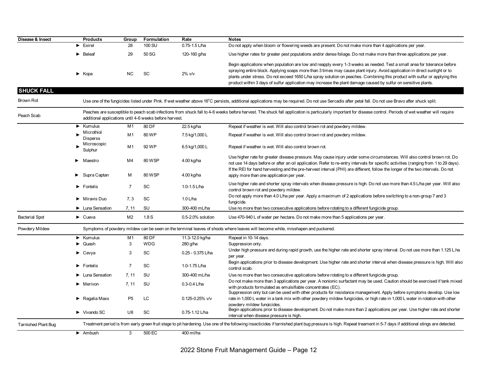| Disease & Insect           | <b>Products</b>                    | Group          | Formulation                                             | Rate                | <b>Notes</b>                                                                                                                                                                                                                                                                                                                                                                                                                                                                                             |
|----------------------------|------------------------------------|----------------|---------------------------------------------------------|---------------------|----------------------------------------------------------------------------------------------------------------------------------------------------------------------------------------------------------------------------------------------------------------------------------------------------------------------------------------------------------------------------------------------------------------------------------------------------------------------------------------------------------|
|                            | Exirel<br>►                        | 28             | 100 SU                                                  | $0.75 - 1.5$ L/ha   | Do not apply when bloom or flowering weeds are present. Do not make more than 4 applications per year.                                                                                                                                                                                                                                                                                                                                                                                                   |
|                            | Beleaf<br>▶                        | 29             | 50 SG                                                   | 120-160 g/ha        | Use higher rates for greater pest populations and/or dense foliage. Do not make more than three applications per year.                                                                                                                                                                                                                                                                                                                                                                                   |
|                            | $\blacktriangleright$ Kopa         | <b>NC</b>      | <b>SC</b>                                               | $2\%$ v/v           | Begin applications when population are low and reapply every 1-3 weeks as needed. Test a small area for tolerance before<br>spraying entire block. Applying soaps more than 3 times may cause plant injury. Avoid application in direct sunlight or to<br>plants under stress. Do not exceed 1650 L/ha spray solution on peaches. Combining this product with sulfur or applying this<br>product within 3 days of sulfur application may increase the plant damage caused by sulfur on sensitive plants. |
| <b>SHUCK FALL</b>          |                                    |                |                                                         |                     |                                                                                                                                                                                                                                                                                                                                                                                                                                                                                                          |
| <b>Brown Rot</b>           |                                    |                |                                                         |                     | Use one of the fungicides listed under Pink. If wet weather above 16°C persists, additional applications may be required. Do not use Sercadis after petal fall. Do not use Bravo after shuck split.                                                                                                                                                                                                                                                                                                      |
| Peach Scab                 |                                    |                | additional applications until 4-6 weeks before harvest. |                     | Peaches are susceptible to peach scab infections from shuck fall to 4-6 weeks before harvest. The shuck fall application is particularly important for disease control. Periods of wet weather will require                                                                                                                                                                                                                                                                                              |
|                            | Kumulus<br>▶                       | M <sub>1</sub> | 80 DF                                                   | 22.5 kg/ha          | Repeat if weather is wet. Will also control brown rot and powdery mildew.                                                                                                                                                                                                                                                                                                                                                                                                                                |
|                            | Microthiol<br><b>Disperss</b>      | M1             | 80 WP                                                   | 7.5 kg/1,000 L      | Repeat if weather is wet. Will also control brown rot and powdery mildew.                                                                                                                                                                                                                                                                                                                                                                                                                                |
|                            | Microscopic<br>Sulphur             | M1             | 92 WP                                                   | 6.5 kg/1,000 L      | Repeat if weather is wet. Will also control brown rot.                                                                                                                                                                                                                                                                                                                                                                                                                                                   |
|                            | Maestro<br>▶                       | M4             | 80 WSP                                                  | 4.00 kg/ha          | Use higher rate for greater disease pressure. May cause injury under some circumstances. Will also control brown rot. Do<br>not use 14 days before or after an oil application. Refer to re-entry intervals for specific activities (ranging from 1 to 29 days).<br>If the REI for hand harvesting and the pre-harvest interval (PHI) are different, follow the longer of the two intervals. Do not                                                                                                      |
|                            | Supra Captan<br>▶                  | м              | 80 WSP                                                  | 4.00 kg/ha          | apply more than one application per year.                                                                                                                                                                                                                                                                                                                                                                                                                                                                |
|                            | $\blacktriangleright$ Fontelis     | $\overline{7}$ | <b>SC</b>                                               | 1.0-1.5 $L/ha$      | Use higher rate and shorter spray intervals when disease pressure is high. Do not use more than 4.5 L/ha per year. Will also<br>control brown rot and powdery mildew.                                                                                                                                                                                                                                                                                                                                    |
|                            | Miravis Duo<br>▶                   | 7.3            | <b>SC</b>                                               | $1.0$ L/ha          | Do not apply more than 4.0 L/ha per year. Apply a maximum of 2 applications before switching to a non-group 7 and 3<br>fungicide.                                                                                                                                                                                                                                                                                                                                                                        |
|                            | • Luna Sensation                   | 7.11           | <b>SU</b>                                               | 300-400 mL/ha       | Use no more than two consecutive applications before rotating to a different fungicide group.                                                                                                                                                                                                                                                                                                                                                                                                            |
| <b>Bacterial Spot</b>      | $\blacktriangleright$ Cueva        | M <sub>2</sub> | 1.8S                                                    | 0.5-2.0% solution   | Use 470-940 L of water per hectare. Do not make more than 5 applications per year.                                                                                                                                                                                                                                                                                                                                                                                                                       |
| Powdery Mildew             |                                    |                |                                                         |                     | Symptoms of powdery mildew can be seen on the terminal leaves of shoots where leaves will become white, misshapen and puckered.                                                                                                                                                                                                                                                                                                                                                                          |
|                            | $\blacktriangleright$ Kumulus      | M1             | 80 DF                                                   | 11.3-12.0 kg/ha     | Repeat in 10-14 days.                                                                                                                                                                                                                                                                                                                                                                                                                                                                                    |
|                            | Quash<br>▶                         | 3              | <b>WDG</b>                                              | 280 g/ha            | Suppression only.                                                                                                                                                                                                                                                                                                                                                                                                                                                                                        |
|                            | $\blacktriangleright$ Cevya        | 3              | <b>SC</b>                                               | $0.25 - 0.375$ L/ha | Under high pressure and during rapid growth, use the higher rate and shorter spray interval. Do not use more than 1.125 L.ha<br>per year.                                                                                                                                                                                                                                                                                                                                                                |
|                            | $\blacktriangleright$ Fontelis     | $\overline{7}$ | <b>SC</b>                                               | 1.0-1.75 L/ha       | Begin applications prior to disease development. Use higher rate and shorter interval when disease pressure is high. Will also<br>control scab.                                                                                                                                                                                                                                                                                                                                                          |
|                            | Luna Sensation<br>▸                | 7.11           | <b>SU</b>                                               | 300-400 mL/ha       | Use no more than two consecutive applications before rotating to a different fungicide group.                                                                                                                                                                                                                                                                                                                                                                                                            |
|                            | Merivon                            | 7.11           | <b>SU</b>                                               | $0.3 - 0.4$ L/ha    | Do not make more than 3 applications per year. A nonionic surfactant may be used. Caution should be exercised if tank mixed<br>with products formulated as emulsifiable concentrates (EC).<br>Suppression only but can be used with other products for resistance management. Apply before symptoms develop. Use low                                                                                                                                                                                     |
|                            | $\blacktriangleright$ Regalia Maxx | P <sub>5</sub> | LC                                                      | 0.125-0.25% v/v     | rate in 1,000 L water in a tank mix with other powdery mildew fungicides, or high rate in 1,000 L water in rotation with other<br>powdery mildew fungicides.                                                                                                                                                                                                                                                                                                                                             |
|                            | $\blacktriangleright$ Vivando SC   | U8             | SC                                                      | 0.75-1.12 L/ha      | Begin applications prior to disease development. Do not make more than 2 applications per year. Use higher rate and shorter<br>interval when disease pressure is high.                                                                                                                                                                                                                                                                                                                                   |
| <b>Tarnished Plant Bug</b> |                                    |                |                                                         |                     | Treatment period is from early green fruit stage to pit hardening. Use one of the following insecticides if tarnished plant bug pressure is high. Repeat treament in 5-7 days if additional stings are detected.                                                                                                                                                                                                                                                                                         |
|                            | $\blacktriangleright$ Ambush       | 3              | 500 EC                                                  | 400 ml/ha           |                                                                                                                                                                                                                                                                                                                                                                                                                                                                                                          |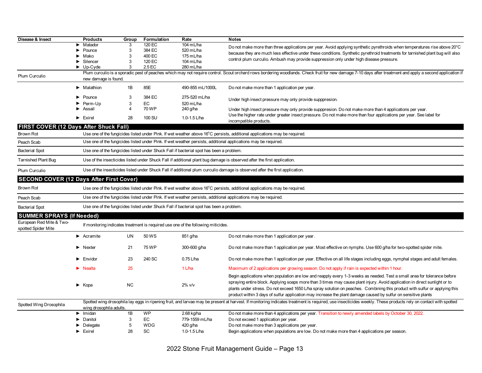| Disease & Insect                                | <b>Products</b>                           | Group                                                                                                                       | <b>Formulation</b> | Rate                                                                                    | <b>Notes</b>                                                                                                                                                                                                                                                                                                                                                                                                                                                                                            |  |  |  |  |  |
|-------------------------------------------------|-------------------------------------------|-----------------------------------------------------------------------------------------------------------------------------|--------------------|-----------------------------------------------------------------------------------------|---------------------------------------------------------------------------------------------------------------------------------------------------------------------------------------------------------------------------------------------------------------------------------------------------------------------------------------------------------------------------------------------------------------------------------------------------------------------------------------------------------|--|--|--|--|--|
|                                                 | Matador                                   | 3                                                                                                                           | 120 EC             | 104 mL/ha                                                                               | Do not make more than three applications per year. Avoid applying synthetic pyrethroids when temperatures rise above 20°C                                                                                                                                                                                                                                                                                                                                                                               |  |  |  |  |  |
|                                                 | Pounce                                    | 3                                                                                                                           | 384 EC             | 520 mL/ha                                                                               | because they are much less effective under these conditions. Synthetic pyrethroid treatments for tarnished plant bug will also                                                                                                                                                                                                                                                                                                                                                                          |  |  |  |  |  |
|                                                 | Mako                                      | 3                                                                                                                           | 400 EC             | 175 mL/ha                                                                               | control plum curculio. Ambush may provide suppression only under high disease pressure.                                                                                                                                                                                                                                                                                                                                                                                                                 |  |  |  |  |  |
|                                                 | Silencer<br>$\blacktriangleright$ Up-Cyde | 3<br>3                                                                                                                      | 120 EC<br>2.5 EC   | 104 mL/ha<br>280 mL/ha                                                                  |                                                                                                                                                                                                                                                                                                                                                                                                                                                                                                         |  |  |  |  |  |
|                                                 |                                           |                                                                                                                             |                    |                                                                                         | Plum curculio is a sporadic pest of peaches which may not require control. Scout orchard rows bordering woodlands. Check fruit for new damage 7-10 days after treatment and apply a second application if                                                                                                                                                                                                                                                                                               |  |  |  |  |  |
| Plum Curculio                                   | new damage is found.                      |                                                                                                                             |                    |                                                                                         |                                                                                                                                                                                                                                                                                                                                                                                                                                                                                                         |  |  |  |  |  |
|                                                 | $\blacktriangleright$ Malathion           | 1B                                                                                                                          | 85E                | 490-855 mL/1000L                                                                        | Do not make more than 1 application per year.                                                                                                                                                                                                                                                                                                                                                                                                                                                           |  |  |  |  |  |
|                                                 | Pounce                                    | 3                                                                                                                           | 384 EC             | 275-520 mL/ha                                                                           | Under high insect pressure may only provide supppresion.                                                                                                                                                                                                                                                                                                                                                                                                                                                |  |  |  |  |  |
|                                                 | Perm-Up                                   | 3                                                                                                                           | EC                 | 520 mL/ha                                                                               |                                                                                                                                                                                                                                                                                                                                                                                                                                                                                                         |  |  |  |  |  |
|                                                 | Assail                                    | 4                                                                                                                           | 70 WP              | 240 g/ha                                                                                | Under high insect pressure may only provide supppresion. Do not make more than 4 applications per year.                                                                                                                                                                                                                                                                                                                                                                                                 |  |  |  |  |  |
|                                                 | $\blacktriangleright$ Exirel              | 28                                                                                                                          | 100 SU             | 1.0-1.5 $L/ha$                                                                          | Use the higher rate under greater insect pressure. Do not make more than four applications per year. See label for<br>incompatible products.                                                                                                                                                                                                                                                                                                                                                            |  |  |  |  |  |
| FIRST COVER (12 Days After Shuck Fall)          |                                           |                                                                                                                             |                    |                                                                                         |                                                                                                                                                                                                                                                                                                                                                                                                                                                                                                         |  |  |  |  |  |
| <b>Brown Rot</b>                                |                                           |                                                                                                                             |                    |                                                                                         | Use one of the fungicides listed under Pink. If wet weather above 16°C persists, additional applications may be required.                                                                                                                                                                                                                                                                                                                                                                               |  |  |  |  |  |
| Peach Scab                                      |                                           |                                                                                                                             |                    |                                                                                         | Use one of the fungicides listed under Pink. If wet weather persists, additional applications may be required.                                                                                                                                                                                                                                                                                                                                                                                          |  |  |  |  |  |
| <b>Bacterial Spot</b>                           |                                           | Use one of the fungicides listed under Shuck Fall if bacterial spot has been a problem.                                     |                    |                                                                                         |                                                                                                                                                                                                                                                                                                                                                                                                                                                                                                         |  |  |  |  |  |
| <b>Tarnished Plant Bug</b>                      |                                           | Use of the insecticides listed under Shuck Fall if additional plant bug damage is observed after the first application.     |                    |                                                                                         |                                                                                                                                                                                                                                                                                                                                                                                                                                                                                                         |  |  |  |  |  |
| Plum Curculio                                   |                                           | Use of the insecticides listed under Shuck Fall if additional plum curculio damage is observed after the first application. |                    |                                                                                         |                                                                                                                                                                                                                                                                                                                                                                                                                                                                                                         |  |  |  |  |  |
| <b>SECOND COVER (12 Days After First Cover)</b> |                                           |                                                                                                                             |                    |                                                                                         |                                                                                                                                                                                                                                                                                                                                                                                                                                                                                                         |  |  |  |  |  |
| <b>Brown Rot</b>                                |                                           | Use one of the fungicides listed under Pink. If wet weather above 16°C persists, additional applications may be required.   |                    |                                                                                         |                                                                                                                                                                                                                                                                                                                                                                                                                                                                                                         |  |  |  |  |  |
| Peach Scab                                      |                                           |                                                                                                                             |                    |                                                                                         | Use one of the fungicides listed under Pink. If wet weather persists, additional applications may be required.                                                                                                                                                                                                                                                                                                                                                                                          |  |  |  |  |  |
| <b>Bacterial Spot</b>                           |                                           |                                                                                                                             |                    | Use one of the fungicides listed under Shuck Fall if bacterial spot has been a problem. |                                                                                                                                                                                                                                                                                                                                                                                                                                                                                                         |  |  |  |  |  |
| <b>SUMMER SPRAYS (If Needed)</b>                |                                           |                                                                                                                             |                    |                                                                                         |                                                                                                                                                                                                                                                                                                                                                                                                                                                                                                         |  |  |  |  |  |
| European Red Mite & Two-<br>spotted Spider Mite |                                           |                                                                                                                             |                    | If monitoring indicates treatment is required use one of the following miticides.       |                                                                                                                                                                                                                                                                                                                                                                                                                                                                                                         |  |  |  |  |  |
|                                                 | $\blacktriangleright$ Acramite            | UN.                                                                                                                         | 50 WS              | 851 g/ha                                                                                | Do not make more than 1 application per year.                                                                                                                                                                                                                                                                                                                                                                                                                                                           |  |  |  |  |  |
|                                                 | $\blacktriangleright$ Nexter              | 21                                                                                                                          | 75 WP              | 300-600 g/ha                                                                            | Do not make more than 1 application per year. Most effective on nymphs. Use 600 g/ha for two-spotted spider mite.                                                                                                                                                                                                                                                                                                                                                                                       |  |  |  |  |  |
|                                                 | $\blacktriangleright$ Envidor             | 23                                                                                                                          | 240 SC             | 0.75 L/ha                                                                               | Do not make more than 1 application per year. Effective on all life stages including eggs, nymphal stages and adult females.                                                                                                                                                                                                                                                                                                                                                                            |  |  |  |  |  |
|                                                 | $\blacktriangleright$ Nealta              | 25                                                                                                                          |                    | 1 L/ha                                                                                  | Maximum of 2 applications per growing season. Do not apply if rain is expected within 1 hour.                                                                                                                                                                                                                                                                                                                                                                                                           |  |  |  |  |  |
|                                                 | $\blacktriangleright$ Kopa                | <b>NC</b>                                                                                                                   |                    | $2\%$ v/v                                                                               | Begin applications when population are low and reapply every 1-3 weeks as needed. Test a small area for tolerance before<br>spraying entire block. Applying soaps more than 3 times may cause plant injury. Avoid application in direct sunlight or to<br>plants under stress. Do not exceed 1650 L/ha spray solution on peaches. Combining this product with sulfur or applying this<br>product within 3 days of sulfur application may increase the plant damage caused by sulfur on sensitive plants |  |  |  |  |  |
| Spotted Wing Drosophila                         | wing drosophila adults.                   |                                                                                                                             |                    |                                                                                         | Spotted wing drosophila lay eggs in ripening fruit, and larvae may be present at harvest. If monitoring indicates treatment is required, use insecticides weekly. These products rely on contact with spotted                                                                                                                                                                                                                                                                                           |  |  |  |  |  |
|                                                 | Imidan                                    | 1B                                                                                                                          | WP                 | 2.68 kg/ha                                                                              | Do not make more than 4 applications per year. Transition to newly amended labels by October 30, 2022.                                                                                                                                                                                                                                                                                                                                                                                                  |  |  |  |  |  |
|                                                 | Danitol                                   | 3                                                                                                                           | EC                 | 779-1559 mL/ha                                                                          | Do not exceed 1 application per year.                                                                                                                                                                                                                                                                                                                                                                                                                                                                   |  |  |  |  |  |
|                                                 | Delegate                                  | 5                                                                                                                           | <b>WDG</b>         | 420 g/ha                                                                                | Do not make more than 3 applications per year.                                                                                                                                                                                                                                                                                                                                                                                                                                                          |  |  |  |  |  |
|                                                 | $\blacktriangleright$ Exirel              | 28                                                                                                                          | SC                 | 1.0-1.5 L/ha                                                                            | Begin applications when populations are low. Do not make more than 4 applications per season.                                                                                                                                                                                                                                                                                                                                                                                                           |  |  |  |  |  |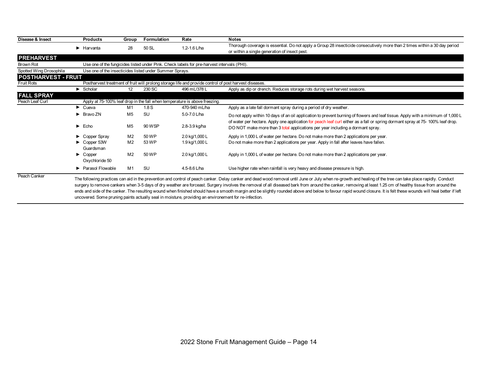| Disease & Insect           | <b>Products</b>                                         | Group          | Formulation | Rate                                                                                                   | <b>Notes</b>                                                                                                                                                                                                     |
|----------------------------|---------------------------------------------------------|----------------|-------------|--------------------------------------------------------------------------------------------------------|------------------------------------------------------------------------------------------------------------------------------------------------------------------------------------------------------------------|
|                            | $\blacktriangleright$ Harvanta                          | 28             | 50 SL       | 1.2-1.6 $L/ha$                                                                                         | Thorough coverage is essential. Do not apply a Group 28 insecticide consecutively more than 2 times within a 30 day period                                                                                       |
|                            |                                                         |                |             |                                                                                                        | or within a single generation of insect pest.                                                                                                                                                                    |
| <b>PREHARVEST</b>          |                                                         |                |             |                                                                                                        |                                                                                                                                                                                                                  |
| Brown Rot                  |                                                         |                |             | Use one of the fungicides listed under Pink. Check labels for pre-harvest intervals (PHI).             |                                                                                                                                                                                                                  |
| Spotted Wing Drosophila    | Use one of the insecticides listed under Summer Sprays. |                |             |                                                                                                        |                                                                                                                                                                                                                  |
| <b>POSTHARVEST - FRUIT</b> |                                                         |                |             |                                                                                                        |                                                                                                                                                                                                                  |
| <b>Fruit Rots</b>          |                                                         |                |             | Postharvest treatment of fruit will prolong storage life and provide control of post harvest diseases. |                                                                                                                                                                                                                  |
|                            | $\blacktriangleright$ Scholar                           | 12             | 230 SC      | 496 mL/378 L                                                                                           | Apply as dip or drench. Reduces storage rots during wet harvest seasons.                                                                                                                                         |
| <b>FALL SPRAY</b>          |                                                         |                |             |                                                                                                        |                                                                                                                                                                                                                  |
| Peach Leaf Curl            |                                                         |                |             | Apply at 75-100% leaf drop in the fall when temperature is above freezing.                             |                                                                                                                                                                                                                  |
|                            | $\blacktriangleright$ Cueva                             | M1             | 1.8S        | 470-940 mL/ha                                                                                          | Apply as a late fall dormant spray during a period of dry weather.                                                                                                                                               |
|                            | $\triangleright$ Bravo ZN                               | M5             | <b>SU</b>   | 5.0-7.0 L/ha                                                                                           | Do not apply within 10 days of an oil application to prevent burning of flowers and leaf tissue. Apply with a minimum of 1,000 L                                                                                 |
|                            |                                                         |                |             |                                                                                                        | of water per hectare. Apply one application for peach leaf curl either as a fall or spring dormant spray at 75- 100% leaf drop.                                                                                  |
|                            | $\blacktriangleright$ Echo                              | M <sub>5</sub> | 90 WSP      | 2.8-3.9 kg/ha                                                                                          | DO NOT make more than 3 total applications per year including a dormant spray.                                                                                                                                   |
|                            | Copper Spray                                            | M <sub>2</sub> | 50 WP       | 2.0 kg/1,000 L                                                                                         | Apply in 1,000 L of water per hectare. Do not make more than 2 applications per year.                                                                                                                            |
|                            | $\triangleright$ Copper 53W                             | M <sub>2</sub> | 53 WP       | 1.9 kg/1,000 L                                                                                         | Do not make more than 2 applications per year. Apply in fall after leaves have fallen.                                                                                                                           |
|                            | Guardsman                                               |                |             |                                                                                                        |                                                                                                                                                                                                                  |
|                            | $\blacktriangleright$ Copper                            | M <sub>2</sub> | 50 WP       | 2.0 kg/1,000 L                                                                                         | Apply in 1,000 L of water per hectare. Do not make more than 2 applications per year.                                                                                                                            |
|                            | Oxychloride 50                                          |                |             |                                                                                                        |                                                                                                                                                                                                                  |
|                            | ▶ Parasol Flowable                                      | M1             | <b>SU</b>   | 4.5-8.6 L/ha                                                                                           | Use higher rate when rainfall is very heavy and disease pressure is high.                                                                                                                                        |
| Peach Canker               |                                                         |                |             |                                                                                                        | The fellowing resolution can aid in the provention and control of pooph contact Delay contact and dead wood remaind which we are luby whom no argue the and booking of the tree can totas place republy. Conduct |

The following practices can aid in the prevention and control of peach canker. Delay canker and dead wood removal until June or July when re-growth and healing of the tree can take place rapidly. Conduct surgery to remove cankers when 3-5 days of dry weather are forceast. Surgery involves the removal of all diseased bark from around the canker, removing at least 1.25 cm of healthy tissue from around the ends and side of the canker. The resulting wound when finished should have a smooth margin and be slightly rounded above and below to favour rapid wound closure. It is felt these wounds will heal better if left uncovered. Some pruning paints actually seal in moisture, providing an environement for re-infection.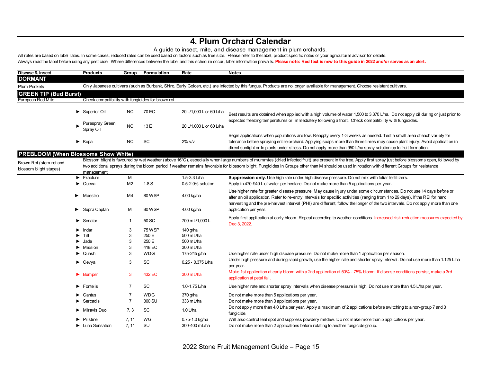### **4. Plum Orchard Calendar**

### A guide to insect, mite, and disease management in plum orchards.

All rates are based on label rates. In some cases, reduced rates can be used based on factors such as tree size. Please refer to the label, product specific notes or your agricultural advisor for details. Always read the label before using any pesticide. Where differences between the label and this schedule occur, label information prevails. Please note: Red text is new to this guide in 2022 and/or serves as an alert.

| Disease & Insect                                  | <b>Products</b>                   | Group          | Formulation                                        | Rate                    | <b>Notes</b>                                                                                                                                                                                                                                                                                                                                                                                                  |
|---------------------------------------------------|-----------------------------------|----------------|----------------------------------------------------|-------------------------|---------------------------------------------------------------------------------------------------------------------------------------------------------------------------------------------------------------------------------------------------------------------------------------------------------------------------------------------------------------------------------------------------------------|
| <b>DORMANT</b>                                    |                                   |                |                                                    |                         |                                                                                                                                                                                                                                                                                                                                                                                                               |
| Plum Pockets                                      |                                   |                |                                                    |                         | Only Japanese cultivars (such as Burbank, Shiro, Early Golden, etc.) are infected by this fungus. Products are no longer available for management. Choose resistant cultivars.                                                                                                                                                                                                                                |
| <b>GREEN TIP (Bud Burst)</b>                      |                                   |                |                                                    |                         |                                                                                                                                                                                                                                                                                                                                                                                                               |
| European Red Mite                                 |                                   |                | Check compatibility with fungicides for brown rot. |                         |                                                                                                                                                                                                                                                                                                                                                                                                               |
|                                                   |                                   |                |                                                    |                         |                                                                                                                                                                                                                                                                                                                                                                                                               |
|                                                   | Superior Oil                      | NC.            | 70 EC                                              | 20 L/1,000 L or 60 L/ha | Best results are obtained when applied with a high volume of water 1,500 to 3,370 L/ha. Do not apply oil during or just prior to                                                                                                                                                                                                                                                                              |
|                                                   | Purespray Green<br>Spray Oil      | <b>NC</b>      | 13 E                                               | 20 L/1,000 L or 60 L/ha | expected freezing temperatures or immediately following a frost. Check compatibility with fungicides.                                                                                                                                                                                                                                                                                                         |
|                                                   | $\blacktriangleright$ Kopa        | <b>NC</b>      | SC                                                 | $2\%$ v/v               | Begin applications when populations are low. Reapply every 1-3 weeks as needed. Test a small area of each variety for<br>tolerance before spraying entire orchard. Applying soaps more than three times may cause plant injury. Avoid application in<br>direct sunlight or to plants under stress. Do not apply more than 950 L/ha spray solution up to fruit formation.                                      |
| <b>PREBLOOM (When Blossoms Show White)</b>        |                                   |                |                                                    |                         |                                                                                                                                                                                                                                                                                                                                                                                                               |
| Brown Rot (stem rot and<br>blossom blight stages) | management.                       |                |                                                    |                         | Blossom blight is favoured by wet weather (above 16°C), especially when large numbers of mummies (dried infected fruit) are present in the tree. Apply first spray just before blossoms open, followed by<br>two additional sprays during the bloom period if weather remains favorable for blossom blight. Fungicides in Groups other than M should be used in rotation with different Groups for resistance |
|                                                   | $\blacktriangleright$ Fracture    | M              |                                                    | 1.5-3.3 L/ha            | Suppression only. Use high rate under high disease pressure. Do not mix with foliar fertilizers.                                                                                                                                                                                                                                                                                                              |
|                                                   | Cueva                             | M <sub>2</sub> | 1.8 <sub>S</sub>                                   | 0.5-2.0% solution       | Apply in 470-940 L of water per hectare. Do not make more than 5 applications per year.                                                                                                                                                                                                                                                                                                                       |
|                                                   | Maestro<br>▶                      | M <sub>4</sub> | 80 WSP                                             | 4.00 kg/ha              | Use higher rate for greater disease pressure. May cause injury under some circumstances. Do not use 14 days before or<br>after an oil application. Refer to re-entry intervals for specific activities (ranging from 1 to 29 days). If the REI for hand<br>harvesting and the pre-harvest interval (PHI) are different, follow the longer of the two intervals. Do not apply more than one                    |
|                                                   | Supra Captan<br>▶                 | м              | 80 WSP                                             | 4.00 kg/ha              | application per year.                                                                                                                                                                                                                                                                                                                                                                                         |
|                                                   | $\blacktriangleright$ Senator     | $\overline{1}$ | 50 SC                                              | 700 mL/1,000 L          | Apply first application at early bloom. Repeat according to weather conditions. Increased risk reduction measures expected by<br>Dec 3, 2022.                                                                                                                                                                                                                                                                 |
|                                                   | Indar                             | 3              | <b>75 WSP</b>                                      | 140 g/ha                |                                                                                                                                                                                                                                                                                                                                                                                                               |
|                                                   | Tilt                              | 3              | 250 E                                              | 500 mL/ha               |                                                                                                                                                                                                                                                                                                                                                                                                               |
|                                                   | Jade                              | 3              | 250 E                                              | 500 mL/ha               |                                                                                                                                                                                                                                                                                                                                                                                                               |
|                                                   | Mission                           | 3              | 418 EC                                             | 300 mL/ha               |                                                                                                                                                                                                                                                                                                                                                                                                               |
|                                                   | Quash                             | 3              | <b>WDG</b>                                         | 175-245 g/ha            | Use higher rate under high disease pressure. Do not make more than 1 application per season.                                                                                                                                                                                                                                                                                                                  |
|                                                   | $\triangleright$ Cevya            | 3              | SC                                                 | 0.25 - 0.375 L/ha       | Under high pressure and during rapid growth, use the higher rate and shorter spray interval. Do not use more than 1.125 L.ha<br>per year.                                                                                                                                                                                                                                                                     |
|                                                   | $\blacktriangleright$ Bumper      | 3              | 432 EC                                             | 300 mL/ha               | Make 1st application at early bloom with a 2nd application at 50% - 75% bloom. If disease conditions persist, make a 3rd<br>application at petal fall.                                                                                                                                                                                                                                                        |
|                                                   | Fontelis                          | 7              | SC                                                 | 1.0-1.75 L/ha           | Use higher rate and shorter spray intervals when disease pressure is high. Do not use more than 4.5 L/ha per year.                                                                                                                                                                                                                                                                                            |
|                                                   | Cantus                            | 7              | <b>WDG</b>                                         | 370 g/ha                | Do not make more than 5 applications per year.                                                                                                                                                                                                                                                                                                                                                                |
|                                                   | Sercadis                          | $\overline{7}$ | 300 SU                                             | 333 mL/ha               | Do not make more than 3 applications per year.                                                                                                                                                                                                                                                                                                                                                                |
|                                                   | $\blacktriangleright$ Miravis Duo | 7, 3           | SC                                                 | $1.0$ L/ha              | Do not apply more than 4.0 L/ha per year. Apply a maximum of 2 applications before switching to a non-group 7 and 3<br>fungicide.                                                                                                                                                                                                                                                                             |
|                                                   | Pristine                          | 7, 11          | WG                                                 | 0.75-1.0 kg/ha          | Will also control leaf spot and suppress powdery mildew. Do not make more than 5 applications per year.                                                                                                                                                                                                                                                                                                       |
|                                                   | Luna Sensation                    | 7, 11          | <b>SU</b>                                          | 300-400 mL/ha           | Do not make more than 2 applications before rotating to another fungicide group.                                                                                                                                                                                                                                                                                                                              |
|                                                   |                                   |                |                                                    |                         |                                                                                                                                                                                                                                                                                                                                                                                                               |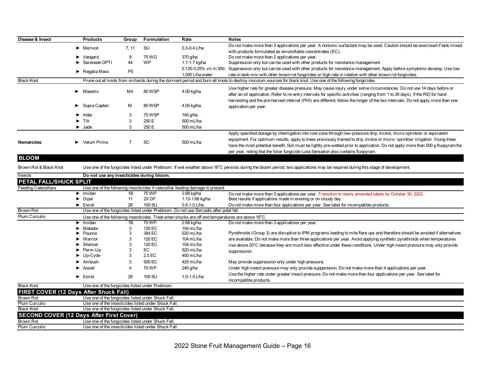| Disease & Insect  | <b>Products</b>                    | Group          | Formulation | Rate                    | <b>Notes</b>                                                                                                                                                                                                                                                                                                                                                                                                                                                                      |
|-------------------|------------------------------------|----------------|-------------|-------------------------|-----------------------------------------------------------------------------------------------------------------------------------------------------------------------------------------------------------------------------------------------------------------------------------------------------------------------------------------------------------------------------------------------------------------------------------------------------------------------------------|
|                   | $\blacktriangleright$ Merivon      | 7.11           | <b>SU</b>   | $0.3 - 0.4$ L/ha        | Do not make more than 3 applications per year. A nonionic surfactant may be used. Caution should be exercised if tank mixed                                                                                                                                                                                                                                                                                                                                                       |
|                   |                                    |                |             |                         | with products formulated as emulsifiable concentrates (EC).                                                                                                                                                                                                                                                                                                                                                                                                                       |
|                   | $\blacktriangleright$ Vangard      | 9              | 75 WG       | 370 g/ha                | Do not make more than 2 applications per year.                                                                                                                                                                                                                                                                                                                                                                                                                                    |
|                   | Serenade OPTI                      | 44             | <b>WP</b>   | 1.1-1.7 kg/ha           | Suppression only but can be used with other products for resistance management.                                                                                                                                                                                                                                                                                                                                                                                                   |
|                   | $\blacktriangleright$ Regalia Maxx | P <sub>5</sub> |             | 0.125-0.25% v/v in 500- | Suppression only but can be used with other products for resistance management. Apply before symptoms develop. Use low                                                                                                                                                                                                                                                                                                                                                            |
|                   |                                    |                |             | 1.000 L/ha water        | rate in tank-mix with other brown rot fungicides or high rate in rotation with other brown rot fungicides.                                                                                                                                                                                                                                                                                                                                                                        |
| <b>Black Knot</b> |                                    |                |             |                         | Prune out all knots from orchards during the dormant period and burn all knots to destroy inoculum sources for black knot. Use one of the following fungicides.                                                                                                                                                                                                                                                                                                                   |
|                   | $\blacktriangleright$ Maestro      | M4             | 80 WSP      | 4.00 kg/ha              | Use higher rate for greater disease pressure. May cause injury under some circumstances. Do not use 14 days before or<br>after an oil application. Refer to re-entry intervals for specific activities (ranging from 1 to 29 days). If the REI for hand                                                                                                                                                                                                                           |
|                   | $\blacktriangleright$ Supra Captan | M              | 80 WSP      | 4.00 kg/ha              | harvesting and the pre-harvest interval (PHI) are different, follow the longer of the two intervals. Do not apply more than one<br>application per year.                                                                                                                                                                                                                                                                                                                          |
|                   | $\blacktriangleright$ Indar        |                | 75 WSP      | 140 g/ha                |                                                                                                                                                                                                                                                                                                                                                                                                                                                                                   |
|                   | $\blacktriangleright$ Tilt         |                | 250 E       | 500 mL/ha               |                                                                                                                                                                                                                                                                                                                                                                                                                                                                                   |
|                   | $\blacktriangleright$ Jade         |                | 250 E       | 500 mL/ha               |                                                                                                                                                                                                                                                                                                                                                                                                                                                                                   |
| <b>Nematodes</b>  | $\blacktriangleright$ Velum Prime  |                | <b>SC</b>   | 500 mL/ha               | Apply specified dosage by chemigation into root-zone through low-pressure drip, trickle, micro-sprinkler or equivalent<br>equipment. For optimum results, apply to trees previously trained to drip, trickle or micro-sprinkler irrigation. Young trees<br>have the most potential benefit. Soil must be lightly pre-wetted prior to application. Do not apply more than 500 g fluopyram/ha<br>per year, noting that the foliar fungicide Luna Sensation also contains fluopyram. |

### **BLOOM**

Brown Rot & Black Knot

Use one of the fungicides listed under Prebloom. If wet weather above 16°C persists during the bloom period, two applications may be required during this stage of development.

| Insects                | Do not use any insecticides during bloom.            |    |                  |                                                                                                   |                                                                                                                                |
|------------------------|------------------------------------------------------|----|------------------|---------------------------------------------------------------------------------------------------|--------------------------------------------------------------------------------------------------------------------------------|
| PETAL FALL/SHUCK SPLIT |                                                      |    |                  |                                                                                                   |                                                                                                                                |
| Feeding Caterpillars   |                                                      |    |                  | Use one of the following insecticides if caterpillar feeding damage is present.                   |                                                                                                                                |
|                        | $\blacktriangleright$ Imidan                         | 1Β | 70 WP            | 2.68 kg/ha                                                                                        | Do not make more than 3 applications per year. Transition to newly amended labels by October 30, 2022.                         |
|                        | $\triangleright$ Dipel                               | 11 | 2X <sub>DF</sub> | 1.13-1.68 kg/ha                                                                                   | Best results if applications made in evening or on cloudy day.                                                                 |
|                        | $\blacktriangleright$ Exirel                         | 28 | 100 SU           | $0.5 - 1.0$ L/ha                                                                                  | Do not make more than four applications per year. See label for incompatible products.                                         |
| <b>Brown Rot</b>       |                                                      |    |                  | Use one of the fungicides listed under Prebloom. Do not use Sercadis after petal fall.            |                                                                                                                                |
| Plum Curculio          |                                                      |    |                  | Use one of the following insecticides. Treat when shucks are off and temperatures are above 16°C. |                                                                                                                                |
|                        | $\blacktriangleright$ Imidan                         | 1Β | 70 WP            | 2.68 kg/ha                                                                                        | Do not make more than 3 applications per year.                                                                                 |
|                        | $\blacktriangleright$ Matador                        |    | 120 EC           | 104 mL/ha                                                                                         |                                                                                                                                |
|                        | $\blacktriangleright$ Pounce                         |    | 384 EC           | $520 \text{ mL/ha}$                                                                               | Pyrethroids (Group 3) are disruptive to IPM programs leading to mite flare ups and therefore should be avoided if alternatives |
|                        | $\blacktriangleright$ Warrior                        |    | 120 EC           | 104 mL/ha                                                                                         | are available. Do not make more than three applications per year. Avoid applying synthetic pyrethroids when temperatures       |
|                        | $\blacktriangleright$ Silencer                       |    | 120 EC           | 104 mL/ha                                                                                         | rise above 20°C because they are much less effective under these conditions. Under high insect pressure may only provide       |
|                        | $\blacktriangleright$ Perm-Up                        | 3  | EC               | 520 mL/ha                                                                                         | suppression.                                                                                                                   |
|                        | $\blacktriangleright$ Up-Cyde                        | 3  | 2.5 EC           | 400 mL/ha                                                                                         |                                                                                                                                |
|                        | $\blacktriangleright$ Ambush                         | 3  | 500 EC           | 425 mL/ha                                                                                         | May provide suppression only under high pressure.                                                                              |
|                        | Assail                                               |    | 70 WP            | 240 g/ha                                                                                          | Under high insect pressure may only provide supppresion. Do not make more than 4 applications per year.                        |
|                        | $\blacktriangleright$ Exirel                         | 28 | 100 SU           | 1.0-1.5 L/ha                                                                                      | Use the higher rate under greater insect pressure. Do not make more than four applications per year. See label for             |
|                        |                                                      |    |                  |                                                                                                   | incompatible products.                                                                                                         |
| <b>Black Knot</b>      | Use one of the fungicides listed under Prebloom.     |    |                  |                                                                                                   |                                                                                                                                |
|                        | <b>FIRST COVER (12 Days After Shuck Fall)</b>        |    |                  |                                                                                                   |                                                                                                                                |
| <b>Brown Rot</b>       | Use one of the fungicides listed under Shuck Fall.   |    |                  |                                                                                                   |                                                                                                                                |
| Plum Curculio          | Use one of the insecticides listed under Shuck Fall. |    |                  |                                                                                                   |                                                                                                                                |
| <b>Black Knot</b>      | Use one of the fungicides listed under Shuck Fall.   |    |                  |                                                                                                   |                                                                                                                                |
|                        | <b>SECOND COVER (12 Days After First Cover)</b>      |    |                  |                                                                                                   |                                                                                                                                |
| Brown Rot              | Use one of the fungicides listed under Shuck Fall.   |    |                  |                                                                                                   |                                                                                                                                |
| Plum Curculio          | Use one of the insecticides listed under Shuck Fall. |    |                  |                                                                                                   |                                                                                                                                |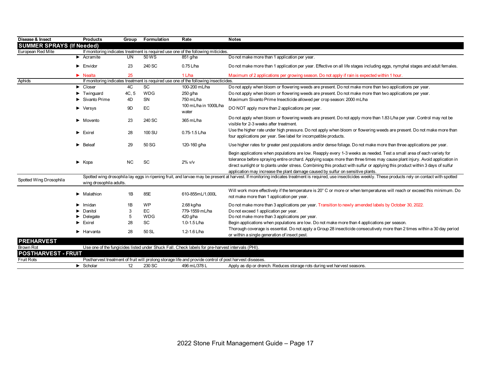| Disease & Insect                 |   | <b>Products</b>                     | Group     | Formulation | Rate                                                                                                   | <b>Notes</b>                                                                                                                                                                                                                                                                                                                                                                                                                                                              |
|----------------------------------|---|-------------------------------------|-----------|-------------|--------------------------------------------------------------------------------------------------------|---------------------------------------------------------------------------------------------------------------------------------------------------------------------------------------------------------------------------------------------------------------------------------------------------------------------------------------------------------------------------------------------------------------------------------------------------------------------------|
| <b>SUMMER SPRAYS (If Needed)</b> |   |                                     |           |             |                                                                                                        |                                                                                                                                                                                                                                                                                                                                                                                                                                                                           |
| European Red Mite                |   |                                     |           |             | If monitoring indicates treatment is required use one of the following miticides.                      |                                                                                                                                                                                                                                                                                                                                                                                                                                                                           |
|                                  |   | $\blacktriangleright$ Acramite      | UN        | 50WS        | 851 g/ha                                                                                               | Do not make more than 1 application per year.                                                                                                                                                                                                                                                                                                                                                                                                                             |
|                                  |   | $\blacktriangleright$ Envidor       | 23        | 240 SC      | $0.75$ L/ha                                                                                            | Do not make more than 1 application per year. Effective on all life stages including eggs, nymphal stages and adult females.                                                                                                                                                                                                                                                                                                                                              |
|                                  |   | $\blacktriangleright$ Nealta        | 25        |             | 1 L/ha                                                                                                 | Maximum of 2 applications per growing season. Do not apply if rain is expected within 1 hour.                                                                                                                                                                                                                                                                                                                                                                             |
| Aphids                           |   |                                     |           |             | If monitoring indicates treatment is required use one of the following insecticides.                   |                                                                                                                                                                                                                                                                                                                                                                                                                                                                           |
|                                  |   | $\blacktriangleright$ Closer        | 4C        | <b>SC</b>   | 100-200 mL/ha                                                                                          | Do not apply when bloom or flowering weeds are present. Do not make more than two applications per year.                                                                                                                                                                                                                                                                                                                                                                  |
|                                  |   | $\blacktriangleright$ Twinguard     | 4C, 5     | <b>WDG</b>  | 250 g/ha                                                                                               | Do not apply when bloom or flowering weeds are present. Do not make more than two applications per year.                                                                                                                                                                                                                                                                                                                                                                  |
|                                  |   | $\blacktriangleright$ Sivanto Prime | 4D        | <b>SN</b>   | 750 mL/ha                                                                                              | Maximum Sivanto Prime Insecticide allowed per crop season: 2000 mL/ha                                                                                                                                                                                                                                                                                                                                                                                                     |
|                                  |   | $\blacktriangleright$ Versys        | 9D        | EC          | 100 mL/ha in 1000L/ha<br>water                                                                         | DO NOT apply more than 2 applications per year.                                                                                                                                                                                                                                                                                                                                                                                                                           |
|                                  |   | $\blacktriangleright$ Movento       | 23        | 240 SC      | 365 mL/ha                                                                                              | Do not apply when bloom or flowering weeds are present. Do not apply more than 1.83 L/ha per year. Control may not be<br>visible for 2-3 weeks after treatment.                                                                                                                                                                                                                                                                                                           |
|                                  |   | $\blacktriangleright$ Exirel        | 28        | 100 SU      | $0.75 - 1.5$ L/ha                                                                                      | Use the higher rate under high pressure. Do not apply when bloom or flowering weeds are present. Do not make more than<br>four applications per year. See label for incompatible products.                                                                                                                                                                                                                                                                                |
|                                  | ► | Beleaf                              | 29        | 50 SG       | 120-160 g/ha                                                                                           | Use higher rates for greater pest populations and/or dense foliage. Do not make more than three applications per year.                                                                                                                                                                                                                                                                                                                                                    |
|                                  |   | $\blacktriangleright$ Kopa          | <b>NC</b> | <b>SC</b>   | $2\%$ v/v                                                                                              | Begin applications when populations are low. Reapply every 1-3 weeks as needed. Test a small area of each variety for<br>tolerance before spraying entire orchard. Applying soaps more than three times may cause plant injury. Avoid application in<br>direct sunlight or to plants under stress. Combining this product with sulfur or applying this product within 3 days of sulfur<br>application may increase the plant damage caused by sulfur on sensitive plants. |
| Spotted Wing Drosophila          |   | wing drosophila adults.             |           |             |                                                                                                        | Spotted wing drosophila lay eggs in ripening fruit, and larvae may be present at harvest. If monitoring indicates treatment is required, use insecticides weekly. These products rely on contact with spotted                                                                                                                                                                                                                                                             |
|                                  |   | $\blacktriangleright$ Malathion     | 1B        | 85E         | 610-855mL/1,000L                                                                                       | Will work more effectively if the temperature is 20° C or more or when temperatures will reach or exceed this minimum. Do<br>not make more than 1 application per year.                                                                                                                                                                                                                                                                                                   |
|                                  |   | Imidan                              | 1B        | <b>WP</b>   | 2.68 kg/ha                                                                                             | Do not make more than 3 applications per year. Transition to newly amended labels by October 30, 2022.                                                                                                                                                                                                                                                                                                                                                                    |
|                                  |   | Danitol                             | 3         | <b>EC</b>   | 779-1559 mL/ha                                                                                         | Do not exceed 1 application per year.                                                                                                                                                                                                                                                                                                                                                                                                                                     |
|                                  |   | Delegate                            | 5         | <b>WDG</b>  | 420 g/ha                                                                                               | Do not make more than 3 applications per year.                                                                                                                                                                                                                                                                                                                                                                                                                            |
|                                  |   | $\blacktriangleright$ Exirel        | 28        | <b>SC</b>   | 1.0-1.5 L/ha                                                                                           | Begin applications when populations are low. Do not make more than 4 applications per season.                                                                                                                                                                                                                                                                                                                                                                             |
|                                  |   | $\blacktriangleright$ Harvanta      | 28        | 50 SL       | 1.2-1.6 L/ha                                                                                           | Thorough coverage is essential. Do not apply a Group 28 insecticide consecutively more than 2 times within a 30 day period<br>or within a single generation of insect pest.                                                                                                                                                                                                                                                                                               |
| <b>PREHARVEST</b>                |   |                                     |           |             |                                                                                                        |                                                                                                                                                                                                                                                                                                                                                                                                                                                                           |
| Brown Rot                        |   |                                     |           |             | Use one of the fungicides listed under Shuck Fall. Check labels for pre-harvest intervals (PHI).       |                                                                                                                                                                                                                                                                                                                                                                                                                                                                           |
| <b>POSTHARVEST - FRUIT</b>       |   |                                     |           |             |                                                                                                        |                                                                                                                                                                                                                                                                                                                                                                                                                                                                           |
| <b>Fruit Rots</b>                |   |                                     |           |             | Postharvest treatment of fruit will prolong storage life and provide control of post harvest diseases. |                                                                                                                                                                                                                                                                                                                                                                                                                                                                           |
|                                  |   | $\blacktriangleright$ Scholar       | 12        | 230 SC      | 496 mL/378 L                                                                                           | Apply as dip or drench. Reduces storage rots during wet harvest seasons.                                                                                                                                                                                                                                                                                                                                                                                                  |
|                                  |   |                                     |           |             |                                                                                                        |                                                                                                                                                                                                                                                                                                                                                                                                                                                                           |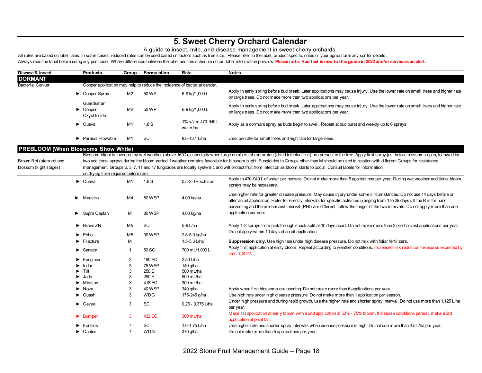## **5. Sweet Cherry Orchard Calendar**

### A guide to insect, mite, and disease management in sweet cherry orchards.

All rates are based on label rates. In some cases, reduced rates can be used based on factors such as tree size. Please refer to the label, product specific notes or your agricultural advisor for details. Always read the label before using any pesticide. Where differences between the label and this schedule occur, label information prevails. Please note: Red text is new to this guide in 2022 and/or serves as an alert.

| Disease & Insect                                                                                | <b>Products</b>                                                          | Group          | Formulation   | Rate                            | <b>Notes</b>                                                                                                                                                                                                                                                                                                                                                                                                                                                                                                                                                                          |
|-------------------------------------------------------------------------------------------------|--------------------------------------------------------------------------|----------------|---------------|---------------------------------|---------------------------------------------------------------------------------------------------------------------------------------------------------------------------------------------------------------------------------------------------------------------------------------------------------------------------------------------------------------------------------------------------------------------------------------------------------------------------------------------------------------------------------------------------------------------------------------|
| <b>DORMANT</b>                                                                                  |                                                                          |                |               |                                 |                                                                                                                                                                                                                                                                                                                                                                                                                                                                                                                                                                                       |
| <b>Bacterial Canker</b>                                                                         | Copper application may help to reduce the incidence of bacterial canker. |                |               |                                 |                                                                                                                                                                                                                                                                                                                                                                                                                                                                                                                                                                                       |
|                                                                                                 | Copper Spray                                                             | M <sub>2</sub> | 50 WP         | 6-9 kg/1,000 L                  | Apply in early spring before bud break. Later applications may cause injury. Use the lower rate on small trees and higher rate<br>on large trees. Do not make more than two applications per year.                                                                                                                                                                                                                                                                                                                                                                                    |
|                                                                                                 | Guardsman<br>$\blacktriangleright$ Copper<br>Oxychloride                 | M <sub>2</sub> | 50 WP         | 6-9 kg/1,000 L                  | Apply in early spring before bud break. Later applications may cause injury. Use the lower rate on small trees and higher rate<br>on large trees. Do not make more than two applications per year.                                                                                                                                                                                                                                                                                                                                                                                    |
|                                                                                                 | $\blacktriangleright$ Cueva                                              | M1             | 1.8S          | 1% v/v in 470-940 L<br>water/ha | Apply as a dormant spray as buds begin to swell. Repeat at bud burst and weekly up to 6 sprays.                                                                                                                                                                                                                                                                                                                                                                                                                                                                                       |
|                                                                                                 | Parasol Flowable                                                         | M <sub>1</sub> | <b>SU</b>     | 8.8-13.1 L/ha                   | Use low rate for small trees and high rate for large trees.                                                                                                                                                                                                                                                                                                                                                                                                                                                                                                                           |
| <b>PREBLOOM (When Blossoms Show White)</b><br>Brown Rot (stem rot and<br>blossom blight stages) | on drying time required before rain.                                     |                |               |                                 | Blossom blight is favoured by wet weather (above 16°C), especially when large numbers of mummies (dried infected fruit) are present in the tree. Apply first spray just before blossoms open, followed by<br>two additional sprays during the bloom period if weather remains favorable for blossom blight. Fungicides in Groups other than M should be used in rotation with different Groups for resistance<br>management. Groups 2, 3, 7, 11 and 17 fungicides are locally systemic and will protect fruit from infection as bloom starts to occur. Consult labels for information |
|                                                                                                 | $\blacktriangleright$ Cueva                                              | M <sub>1</sub> | 1.8S          | 0.5-2.0% solution               | Apply in 470-940 L of water per hectare. Do not make more than 5 applications per year. During wet weather additional bloom<br>sprays may be necessary.                                                                                                                                                                                                                                                                                                                                                                                                                               |
|                                                                                                 | $\blacktriangleright$ Maestro                                            | M4             | 80 WSP        | 4.00 kg/ha                      | Use higher rate for greater disease pressure. May cause injury under some circumstances. Do not use 14 days before or<br>after an oil application. Refer to re-entry intervals for specific activities (ranging from 1 to 29 days). If the REI for hand<br>harvesting and the pre-harvest interval (PHI) are different, follow the longer of the two intervals. Do not apply more than one                                                                                                                                                                                            |
|                                                                                                 | Supra Captan                                                             | M              | 80 WSP        | 4.00 kg/ha                      | application per year.                                                                                                                                                                                                                                                                                                                                                                                                                                                                                                                                                                 |
|                                                                                                 | $\triangleright$ Bravo ZN                                                | M5             | <b>SU</b>     | 5-9 L/ha                        | Apply 1-2 sprays from pink through shuck split at 10 days apart. Do not make more than 2 pre-harvest applications per year.<br>Do not apply within 10 days of an oil application.                                                                                                                                                                                                                                                                                                                                                                                                     |
|                                                                                                 | $\blacktriangleright$ Echo                                               | M <sub>5</sub> | 90 WSP        | 2.8-5.0 kg/ha                   |                                                                                                                                                                                                                                                                                                                                                                                                                                                                                                                                                                                       |
|                                                                                                 | $\blacktriangleright$ Fracture                                           | M              |               | 1.5-3.3 L/ha                    | Suppression only. Use high rate under high disease pressure. Do not mix with foliar fertilizers.                                                                                                                                                                                                                                                                                                                                                                                                                                                                                      |
|                                                                                                 | $\blacktriangleright$ Senator                                            | $\mathbf{1}$   | 50 SC         | 700 mL/1,000 L                  | Apply first application at early bloom. Repeat according to weather conditions. Increased risk reduction measures expected by<br>Dec 3, 2022.                                                                                                                                                                                                                                                                                                                                                                                                                                         |
|                                                                                                 | $\blacktriangleright$ Funginex                                           | 3              | 190 EC        | 2.50 L/ha                       |                                                                                                                                                                                                                                                                                                                                                                                                                                                                                                                                                                                       |
|                                                                                                 | Indar                                                                    | 3              | <b>75 WSP</b> | 140 g/ha                        |                                                                                                                                                                                                                                                                                                                                                                                                                                                                                                                                                                                       |
|                                                                                                 | $\blacktriangleright$ Tilt                                               | 3              | 250 E         | 500 mL/ha                       |                                                                                                                                                                                                                                                                                                                                                                                                                                                                                                                                                                                       |
|                                                                                                 | $\blacktriangleright$ Jade                                               | 3              | 250 E         | 500 mL/ha                       |                                                                                                                                                                                                                                                                                                                                                                                                                                                                                                                                                                                       |
|                                                                                                 | $\blacktriangleright$ Mission                                            | 3              | 418 EC        | 300 mL/ha                       |                                                                                                                                                                                                                                                                                                                                                                                                                                                                                                                                                                                       |
|                                                                                                 | $\blacktriangleright$ Nova                                               | 3              | 40 WSP        | 340 g/ha                        | Apply when first blossoms are opening. Do not make more than 6 applications per year.                                                                                                                                                                                                                                                                                                                                                                                                                                                                                                 |
|                                                                                                 | $\triangleright$ Quash                                                   | 3              | <b>WDG</b>    | 175-245 g/ha                    | Use high rate under high disease pressure. Do not make more than 1 application per season.                                                                                                                                                                                                                                                                                                                                                                                                                                                                                            |
|                                                                                                 | $\blacktriangleright$ Cevya                                              | 3              | SC            | 0.25 - 0.375 L/ha               | Under high pressure and during rapid growth, use the higher rate and shorter spray interval. Do not use more than 1.125 L.ha<br>per year.                                                                                                                                                                                                                                                                                                                                                                                                                                             |
|                                                                                                 | $\blacktriangleright$ Bumper                                             | 3              | 432 EC        | 300 mL/ha                       | Make 1st application at early bloom with a 2nd application at 50% - 75% bloom. If disease conditions persist, make a 3rd<br>application at petal fall.                                                                                                                                                                                                                                                                                                                                                                                                                                |
|                                                                                                 | Fontelis                                                                 | $\overline{7}$ | <b>SC</b>     | 1.0-1.75 L/ha                   | Use higher rate and shorter spray intervals when disease pressure is high. Do not use more than 4.5 L/ha per year.                                                                                                                                                                                                                                                                                                                                                                                                                                                                    |
|                                                                                                 | $\triangleright$ Cantus                                                  | $\overline{7}$ | <b>WDG</b>    | 370 g/ha                        | Do not make more than 5 applications per year.                                                                                                                                                                                                                                                                                                                                                                                                                                                                                                                                        |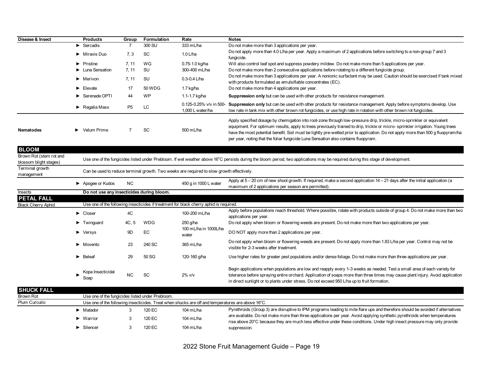| Disease & Insect                                                  | <b>Products</b>                                  | Group          | Formulation | Rate                                                                                              | <b>Notes</b>                                                                                                                                                                                                                                                                                                                                                                                                                                                                      |
|-------------------------------------------------------------------|--------------------------------------------------|----------------|-------------|---------------------------------------------------------------------------------------------------|-----------------------------------------------------------------------------------------------------------------------------------------------------------------------------------------------------------------------------------------------------------------------------------------------------------------------------------------------------------------------------------------------------------------------------------------------------------------------------------|
|                                                                   | Sercadis                                         |                | 300 SU      | 333 mL/ha                                                                                         | Do not make more than 3 applications per year.                                                                                                                                                                                                                                                                                                                                                                                                                                    |
|                                                                   | Miravis Duo                                      | 7.3            | SC          | 1.0 $L/ha$                                                                                        | Do not apply more than 4.0 L/ha per year. Apply a maximum of 2 applications before switching to a non-group 7 and 3<br>fungicide.                                                                                                                                                                                                                                                                                                                                                 |
|                                                                   | Pristine                                         | 7, 11          | WG          | 0.75-1.0 kg/ha                                                                                    | Will also control leaf spot and suppress powdery mildew. Do not make more than 5 applications per year.                                                                                                                                                                                                                                                                                                                                                                           |
|                                                                   | • Luna Sensation                                 | 7, 11          | SU          | 300-400 mL/ha                                                                                     | Do not make more than 2 consecutive applications before rotating to a different fungicide group.                                                                                                                                                                                                                                                                                                                                                                                  |
|                                                                   | Merivon                                          | 7, 11          | SU          | $0.3 - 0.4$ L/ha                                                                                  | Do not make more than 3 applications per year. A nonionic surfactant may be used. Caution should be exercised if tank mixed<br>with products formulated as emulsifiable concentrates (EC).                                                                                                                                                                                                                                                                                        |
|                                                                   | $\blacktriangleright$ Elevate                    | 17             | 50 WDG      | 1.7 kg/ha                                                                                         | Do not make more than 4 applications per year.                                                                                                                                                                                                                                                                                                                                                                                                                                    |
|                                                                   | Serenade OPTI                                    | 44             | <b>WP</b>   | 1.1-1.7 kg/ha                                                                                     | Suppression only but can be used with other products for resistance management.                                                                                                                                                                                                                                                                                                                                                                                                   |
|                                                                   | $\blacktriangleright$ Regalia Maxx               | P <sub>5</sub> | LC.         | 1,000 L water/ha                                                                                  | 0.125-0.25% v/v in 500- Suppression only but can be used with other products for resistance management. Apply before symptoms develop. Use<br>low rate in tank mix with other brown rot fungicides, or use high rate in rotation with other brown rot fungicides.                                                                                                                                                                                                                 |
| <b>Nematodes</b>                                                  | $\blacktriangleright$ Velum Prime                | $\overline{7}$ | SC          | 500 mL/ha                                                                                         | Apply specified dosage by chemigation into root-zone through low-pressure drip, trickle, micro-sprinkler or equivalent<br>equipment. For optimum results, apply to trees previously trained to drip, trickle or micro-sprinkler irrigation. Young trees<br>have the most potential benefit. Soil must be lightly pre-wetted prior to application. Do not apply more than 500 g fluopyram/ha<br>per year, noting that the foliar fungicide Luna Sensation also contains fluopyram. |
| <b>BLOOM</b><br>Brown Rot (stem rot and<br>blossom blight stages) |                                                  |                |             |                                                                                                   | Use one of the fungicides listed under Prebloom. If wet weather above 16°C persists during the bloom period, two applications may be required during this stage of development.                                                                                                                                                                                                                                                                                                   |
| Terminal growth<br>management                                     |                                                  |                |             | Can be used to reduce terminal growth. Two weeks are required to slow growth effectively.         |                                                                                                                                                                                                                                                                                                                                                                                                                                                                                   |
|                                                                   | Apogee or Kudos                                  | <b>NC</b>      |             | 450 g in 1000 L water                                                                             | Apply at $5-20$ cm of new shoot growth. If required, make a second application $14-21$ days after the initial application (a<br>maximum of 2 applications per season are permitted).                                                                                                                                                                                                                                                                                              |
| Insects                                                           | Do not use any insecticides during bloom.        |                |             |                                                                                                   |                                                                                                                                                                                                                                                                                                                                                                                                                                                                                   |
| <b>PETAL FALL</b>                                                 |                                                  |                |             |                                                                                                   |                                                                                                                                                                                                                                                                                                                                                                                                                                                                                   |
| <b>Black Cherry Aphid</b>                                         |                                                  |                |             | Use one of the following insecticides if treatment for black cherry aphid is required.            |                                                                                                                                                                                                                                                                                                                                                                                                                                                                                   |
|                                                                   | $\triangleright$ Closer                          | 4C             |             | 100-200 mL/ha                                                                                     | Apply before populations reach threshold. Where possible, rotate with products outside of group 4. Do not make more than two<br>applications per year.                                                                                                                                                                                                                                                                                                                            |
|                                                                   | $\blacktriangleright$ Twinguard                  | 4C, 5          | <b>WDG</b>  | $250$ g/ha                                                                                        | Do not apply when bloom or flowering weeds are present. Do not make more than two applications per year.                                                                                                                                                                                                                                                                                                                                                                          |
|                                                                   | $\blacktriangleright$ Versys                     | 9D             | EC          | 100 mL/ha in 1000L/ha<br>water                                                                    | DO NOT apply more than 2 applications per year.                                                                                                                                                                                                                                                                                                                                                                                                                                   |
|                                                                   | • Movento                                        | 23             | 240 SC      | 365 mL/ha                                                                                         | Do not apply when bloom or flowering weeds are present. Do not apply more than 1.83 L/ha per year. Control may not be<br>visible for 2-3 weeks after treatment.                                                                                                                                                                                                                                                                                                                   |
|                                                                   | $\blacktriangleright$ Beleaf                     | 29             | 50 SG       | 120-160 g/ha                                                                                      | Use higher rates for greater pest populations and/or dense foliage. Do not make more than three applications per year.                                                                                                                                                                                                                                                                                                                                                            |
|                                                                   | Kopa Insecticidal<br>Soap                        | <b>NC</b>      | SC          | $2\%$ v/v                                                                                         | Begin applications when populations are low and reapply every 1-3 weeks as needed. Test a small area of each variety for<br>tolerance before spraying entire orchard. Application of soaps more than three times may cause plant injury. Avoid application<br>in direct sunlight or to plants under stress. Do not exceed 950 L/ha up to fruit formation.                                                                                                                         |
| <b>SHUCK FALL</b>                                                 |                                                  |                |             |                                                                                                   |                                                                                                                                                                                                                                                                                                                                                                                                                                                                                   |
| <b>Brown Rot</b>                                                  | Use one of the fungicides listed under Prebloom. |                |             |                                                                                                   |                                                                                                                                                                                                                                                                                                                                                                                                                                                                                   |
| Plum Curculio                                                     |                                                  |                |             | Use one of the following insecticides. Treat when shucks are off and temperatures are above 16°C. |                                                                                                                                                                                                                                                                                                                                                                                                                                                                                   |

|                               |        | OSC ONC OF the TOHOWING HISCOLOROS. THERE WHEN SHOCKS RECORDED TO LOTER RELEASED OF TO LOT |                                                                                                                                                                                                                                                      |
|-------------------------------|--------|--------------------------------------------------------------------------------------------|------------------------------------------------------------------------------------------------------------------------------------------------------------------------------------------------------------------------------------------------------|
| · Matador                     | 120 EC | 104 mL/ha                                                                                  | Pyrethroids (Group 3) are disruptive to IPM programs leading to mite flare ups and therefore should be avoided if alternatives                                                                                                                       |
| $\blacktriangleright$ Warrior | 120 EC | 104 mL/ha                                                                                  | are available. Do not make more than three applications per year. Avoid applying synthetic pyrethroids when temperatures<br>rise above 20°C because they are much less effective under these conditions. Under high insect pressure may only provide |
| ► Silencer                    | 120 EC | 104 mL/ha                                                                                  | suppression.                                                                                                                                                                                                                                         |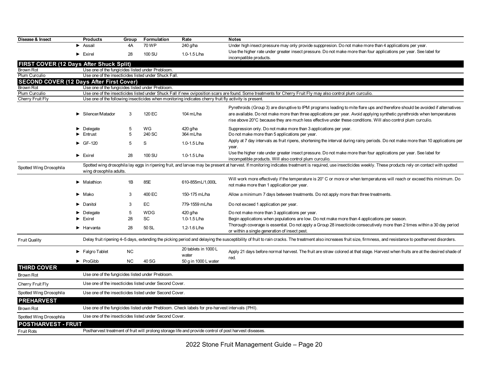| Disease & Insect                                | <b>Products</b>                                  | Group                                                                                                  | Formulation                                            | Rate                                                                                                  | <b>Notes</b>                                                                                                                                                                                                                                                                                                                                                                |  |  |  |  |
|-------------------------------------------------|--------------------------------------------------|--------------------------------------------------------------------------------------------------------|--------------------------------------------------------|-------------------------------------------------------------------------------------------------------|-----------------------------------------------------------------------------------------------------------------------------------------------------------------------------------------------------------------------------------------------------------------------------------------------------------------------------------------------------------------------------|--|--|--|--|
|                                                 | $\blacktriangleright$ Assail                     | 4A                                                                                                     | 70 WP                                                  | 240 g/ha                                                                                              | Under high insect pressure may only provide supppresion. Do not make more than 4 applications per year.                                                                                                                                                                                                                                                                     |  |  |  |  |
|                                                 | $\blacktriangleright$ Exirel                     | 28                                                                                                     | 100 SU                                                 | 1.0-1.5 L/ha                                                                                          | Use the higher rate under greater insect pressure. Do not make more than four applications per year. See label for<br>incompatible products.                                                                                                                                                                                                                                |  |  |  |  |
| FIRST COVER (12 Days After Shuck Split)         |                                                  |                                                                                                        |                                                        |                                                                                                       |                                                                                                                                                                                                                                                                                                                                                                             |  |  |  |  |
| <b>Brown Rot</b>                                | Use one of the fungicides listed under Prebloom. |                                                                                                        |                                                        |                                                                                                       |                                                                                                                                                                                                                                                                                                                                                                             |  |  |  |  |
| Plum Curculio                                   |                                                  |                                                                                                        | Use one of the insecticides listed under Shuck Fall    |                                                                                                       |                                                                                                                                                                                                                                                                                                                                                                             |  |  |  |  |
| <b>SECOND COVER (12 Days After First Cover)</b> |                                                  |                                                                                                        |                                                        |                                                                                                       |                                                                                                                                                                                                                                                                                                                                                                             |  |  |  |  |
| Brown Rot                                       | Use one of the fungicides listed under Prebloom. |                                                                                                        |                                                        |                                                                                                       |                                                                                                                                                                                                                                                                                                                                                                             |  |  |  |  |
| Plum Curculio                                   |                                                  |                                                                                                        |                                                        |                                                                                                       | Use one of the insecticides listed under Shuck Fall if new oviposition scars are found. Some treatments for Cherry Fruit Fly may also control plum curculio.                                                                                                                                                                                                                |  |  |  |  |
| Cherry Fruit Fly                                |                                                  |                                                                                                        |                                                        | Use one of the following insecticides when monitoring indicates cherry fruit fly activity is present. |                                                                                                                                                                                                                                                                                                                                                                             |  |  |  |  |
|                                                 | Silencer/Matador                                 | 3                                                                                                      | 120 EC                                                 | 104 mL/ha                                                                                             | Pyrethroids (Group 3) are disruptive to IPM programs leading to mite flare ups and therefore should be avoided if alternatives<br>are available. Do not make more than three applications per year. Avoid applying synthetic pyrethroids when temperatures<br>rise above 20°C because they are much less effective under these conditions. Will also control plum curculio. |  |  |  |  |
|                                                 | $\blacktriangleright$ Delegate                   | 5                                                                                                      | WG                                                     | 420 g/ha                                                                                              | Suppression only. Do not make more than 3 applications per year.                                                                                                                                                                                                                                                                                                            |  |  |  |  |
|                                                 | $\blacktriangleright$ Entrust                    | 5                                                                                                      | 240 SC                                                 | 364 mL/ha                                                                                             | Do not make more than 5 applications per year.                                                                                                                                                                                                                                                                                                                              |  |  |  |  |
|                                                 | $\triangleright$ GF-120                          | 5                                                                                                      | S                                                      | 1.0-1.5 L/ha                                                                                          | Apply at 7 day intervals as fruit ripens, shortening the interval during rainy periods. Do not make more than 10 applications per<br>year.                                                                                                                                                                                                                                  |  |  |  |  |
|                                                 | $\blacktriangleright$ Exirel                     | 28                                                                                                     | 100 SU                                                 | 1.0-1.5 $L/ha$                                                                                        | Use the higher rate under greater insect pressure. Do not make more than four applications per year. See label for<br>incompatible products. Will also control plum curculio.                                                                                                                                                                                               |  |  |  |  |
| Spotted Wing Drosophila                         | wing drosophila adults.                          |                                                                                                        |                                                        |                                                                                                       | Spotted wing drosophila lay eggs in ripening fruit, and larvae may be present at harvest. If monitoring indicates treatment is required, use insecticides weekly. These products rely on contact with spotted                                                                                                                                                               |  |  |  |  |
|                                                 | $\blacktriangleright$ Malathion                  | 1B                                                                                                     | 85E                                                    | 610-855mL/1,000L                                                                                      | Will work more effectively if the temperature is 20° C or more or when temperatures will reach or exceed this minimum. Do<br>not make more than 1 application per year.                                                                                                                                                                                                     |  |  |  |  |
|                                                 | $\blacktriangleright$ Mako                       | 3                                                                                                      | 400 EC                                                 | 150-175 mL/ha                                                                                         | Allow a minimum 7 days between treatments. Do not apply more than three treatments.                                                                                                                                                                                                                                                                                         |  |  |  |  |
|                                                 | $\blacktriangleright$ Danitol                    | 3                                                                                                      | EC                                                     | 779-1559 mL/ha                                                                                        | Do not exceed 1 application per year.                                                                                                                                                                                                                                                                                                                                       |  |  |  |  |
|                                                 | $\blacktriangleright$ Delegate                   | 5                                                                                                      | <b>WDG</b>                                             | 420 g/ha                                                                                              | Do not make more than 3 applications per year.                                                                                                                                                                                                                                                                                                                              |  |  |  |  |
|                                                 | $\blacktriangleright$ Exirel                     | 28                                                                                                     | SC                                                     | 1.0-1.5 $L/ha$                                                                                        | Begin applications when populations are low. Do not make more than 4 applications per season.                                                                                                                                                                                                                                                                               |  |  |  |  |
|                                                 | $\blacktriangleright$ Harvanta                   | 28                                                                                                     | 50 SL                                                  | 1.2-1.6 L/ha                                                                                          | Thorough coverage is essential. Do not apply a Group 28 insecticide consecutively more than 2 times within a 30 day period<br>or within a single generation of insect pest.                                                                                                                                                                                                 |  |  |  |  |
| <b>Fruit Quality</b>                            |                                                  |                                                                                                        |                                                        |                                                                                                       | Delay fruit ripening 4–5 days, extending the picking period and delaying the susceptibility of fruit to rain cracks. The treatment also increases fruit size, firmness, and resistance to postharvest disorders.                                                                                                                                                            |  |  |  |  |
|                                                 | $\blacktriangleright$ Falgro Tablet              | <b>NC</b>                                                                                              |                                                        | 20 tablets in 1000 L<br>water                                                                         | Apply 21 days before normal harvest. The fruit are straw colored at that stage. Harvest when fruits are at the desired shade of                                                                                                                                                                                                                                             |  |  |  |  |
|                                                 | $\blacktriangleright$ ProGibb                    | <b>NC</b>                                                                                              | 40 SG                                                  | 50 g in 1000 L water                                                                                  | red.                                                                                                                                                                                                                                                                                                                                                                        |  |  |  |  |
| <b>THIRD COVER</b>                              |                                                  |                                                                                                        |                                                        |                                                                                                       |                                                                                                                                                                                                                                                                                                                                                                             |  |  |  |  |
| Brown Rot                                       | Use one of the fungicides listed under Prebloom. |                                                                                                        |                                                        |                                                                                                       |                                                                                                                                                                                                                                                                                                                                                                             |  |  |  |  |
| Cherry Fruit Fly                                |                                                  |                                                                                                        | Use one of the insecticides listed under Second Cover. |                                                                                                       |                                                                                                                                                                                                                                                                                                                                                                             |  |  |  |  |
| Spotted Wing Drosophila                         |                                                  |                                                                                                        | Use one of the insecticides listed under Second Cover. |                                                                                                       |                                                                                                                                                                                                                                                                                                                                                                             |  |  |  |  |
| <b>PREHARVEST</b>                               |                                                  |                                                                                                        |                                                        |                                                                                                       |                                                                                                                                                                                                                                                                                                                                                                             |  |  |  |  |
| Brown Rot                                       |                                                  |                                                                                                        |                                                        | Use one of the fungicides listed under Prebloom. Check labels for pre-harvest intervals (PHI).        |                                                                                                                                                                                                                                                                                                                                                                             |  |  |  |  |
| Spotted Wing Drosophila                         |                                                  |                                                                                                        | Use one of the insecticides listed under Second Cover. |                                                                                                       |                                                                                                                                                                                                                                                                                                                                                                             |  |  |  |  |
| <b>POSTHARVEST - FRUIT</b>                      |                                                  |                                                                                                        |                                                        |                                                                                                       |                                                                                                                                                                                                                                                                                                                                                                             |  |  |  |  |
| <b>Fruit Rots</b>                               |                                                  | Postharvest treatment of fruit will prolong storage life and provide control of post harvest diseases. |                                                        |                                                                                                       |                                                                                                                                                                                                                                                                                                                                                                             |  |  |  |  |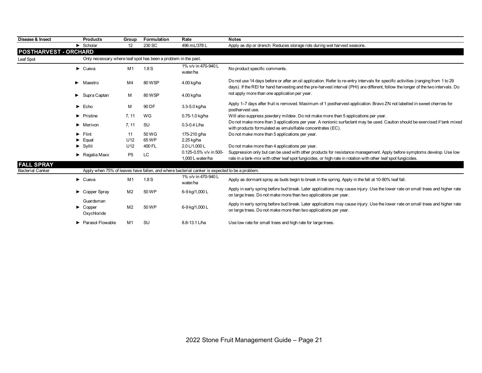| Disease & Insect             | <b>Products</b>                                          | Group           | Formulation                                                    | Rate                                                                                          | <b>Notes</b>                                                                                                                                                                                                                                                           |
|------------------------------|----------------------------------------------------------|-----------------|----------------------------------------------------------------|-----------------------------------------------------------------------------------------------|------------------------------------------------------------------------------------------------------------------------------------------------------------------------------------------------------------------------------------------------------------------------|
|                              | $\blacktriangleright$ Scholar                            | 12 <sup>°</sup> | 230 SC                                                         | 496 mL/378 L                                                                                  | Apply as dip or drench. Reduces storage rots during wet harvest seasons.                                                                                                                                                                                               |
| <b>POSTHARVEST - ORCHARD</b> |                                                          |                 |                                                                |                                                                                               |                                                                                                                                                                                                                                                                        |
| Leaf Spot                    |                                                          |                 | Only necessary where leaf spot has been a problem in the past. |                                                                                               |                                                                                                                                                                                                                                                                        |
|                              | $\blacktriangleright$ Cueva                              | M1              | 1.8S                                                           | 1% v/v in 470-940 L<br>water/ha                                                               | No product specific comments.                                                                                                                                                                                                                                          |
|                              | $\blacktriangleright$ Maestro                            | M4              | 80 WSP                                                         | 4.00 kg/ha                                                                                    | Do not use 14 days before or after an oil application. Refer to re-entry intervals for specific activities (ranging from 1 to 29<br>days). If the REI for hand harvesting and the pre-harvest interval (PHI) are different, follow the longer of the two intervals. Do |
|                              | $\blacktriangleright$ Supra Captan                       | м               | 80 WSP                                                         | 4.00 kg/ha                                                                                    | not apply more than one application per year.                                                                                                                                                                                                                          |
|                              | $\blacktriangleright$ Echo                               | М               | 90 DF                                                          | 3.3-5.0 kg/ha                                                                                 | Apply 1–7 days after fruit is removed. Maximum of 1 postharvest application. Bravo ZN not labelled in sweet cherries for<br>postharvest use.                                                                                                                           |
|                              | $\blacktriangleright$ Pristine                           | 7, 11           | WG                                                             | 0.75-1.0 kg/ha                                                                                | Will also suppress powdery mildew. Do not make more than 5 applications per year.                                                                                                                                                                                      |
|                              | $\blacktriangleright$ Merivon                            | 7, 11           | <b>SU</b>                                                      | $0.3 - 0.4$ L/ha                                                                              | Do not make more than 3 applications per year. A nonionic surfactant may be used. Caution should be exercised if tank mixed<br>with products formulated as emulsifiable concentrates (EC).                                                                             |
|                              | $\blacktriangleright$ Flint                              | 11              | 50 WG                                                          | 175-210 g/ha                                                                                  | Do not make more than 5 applications per year.                                                                                                                                                                                                                         |
|                              | $\blacktriangleright$ Equal                              | U <sub>12</sub> | 65 WP                                                          | 2.25 kg/ha                                                                                    |                                                                                                                                                                                                                                                                        |
|                              | $\blacktriangleright$ Syllit                             | U <sub>12</sub> | 400 FL                                                         | 2.0 L/1.000 L                                                                                 | Do not make more than 4 applications per year.                                                                                                                                                                                                                         |
|                              | $\blacktriangleright$ Regalia Maxx                       | P <sub>5</sub>  | LC                                                             | 0.125-0.5% v/v in 500-<br>1,000 L water/ha                                                    | Suppression only but can be used with other products for resistance management. Apply before symptoms develop. Use low<br>rate in a tank-mix with other leaf spot fungicides, or high rate in rotation with other leaf spot fungicides.                                |
| <b>FALL SPRAY</b>            |                                                          |                 |                                                                |                                                                                               |                                                                                                                                                                                                                                                                        |
| <b>Bacterial Canker</b>      |                                                          |                 |                                                                | Apply when 75% of leaves have fallen, and where bacterial canker is expected to be a problem. |                                                                                                                                                                                                                                                                        |
|                              | $\blacktriangleright$ Cueva                              | M1              | 1.8S                                                           | 1% v/v in 470-940 L<br>water/ha                                                               | Apply as dormant spray as buds begin to break in the spring. Apply in the fall at 10-80% leaf fall.                                                                                                                                                                    |
|                              | Copper Spray                                             | M <sub>2</sub>  | 50 WP                                                          | 6-9 kg/1,000 L                                                                                | Apply in early spring before bud break. Later applications may cause injury. Use the lower rate on small trees and higher rate<br>on large trees. Do not make more than two applications per year.                                                                     |
|                              | Guardsman<br>$\blacktriangleright$ Copper<br>Oxychloride | M <sub>2</sub>  | 50 WP                                                          | 6-9 kg/1,000 L                                                                                | Apply in early spring before bud break. Later applications may cause injury. Use the lower rate on small trees and higher rate<br>on large trees. Do not make more than two applications per year.                                                                     |
|                              | ▶ Parasol Flowable                                       | M <sub>1</sub>  | <b>SU</b>                                                      | 8.8-13.1 L/ha                                                                                 | Use low rate for small trees and high rate for large trees.                                                                                                                                                                                                            |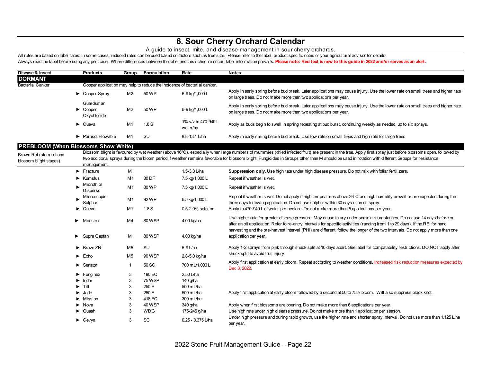## **6. Sour Cherry Orchard Calendar**

### A guide to insect, mite, and disease management in sour cherry orchards.

All rates are based on label rates. In some cases, reduced rates can be used based on factors such as tree size. Please refer to the label, product specific notes or your agricultural advisor for details. Always read the label before using any pesticide. Where differences between the label and this schedule occur, label information prevails. Please note: Red text is new to this guide in 2022 and/or serves as an alert.

| Disease & Insect                                  | <b>Products</b>                                          | Group          | Formulation   | Rate                                                                     | <b>Notes</b>                                                                                                                                                                                                                                                                                                                                                                                                  |
|---------------------------------------------------|----------------------------------------------------------|----------------|---------------|--------------------------------------------------------------------------|---------------------------------------------------------------------------------------------------------------------------------------------------------------------------------------------------------------------------------------------------------------------------------------------------------------------------------------------------------------------------------------------------------------|
| <b>DORMANT</b>                                    |                                                          |                |               |                                                                          |                                                                                                                                                                                                                                                                                                                                                                                                               |
| <b>Bacterial Canker</b>                           |                                                          |                |               | Copper application may help to reduce the incidence of bacterial canker. |                                                                                                                                                                                                                                                                                                                                                                                                               |
|                                                   | Copper Spray                                             | M <sub>2</sub> | 50 WP         | 6-9 kg/1,000 L                                                           | Apply in early spring before bud break. Later applications may cause injury. Use the lower rate on small trees and higher rate<br>on large trees. Do not make more than two applications per year.                                                                                                                                                                                                            |
|                                                   | Guardsman<br>$\blacktriangleright$ Copper<br>Oxychloride | M <sub>2</sub> | 50 WP         | 6-9 kg/1,000 L                                                           | Apply in early spring before bud break. Later applications may cause injury. Use the lower rate on small trees and higher rate<br>on large trees. Do not make more than two applications per year.                                                                                                                                                                                                            |
|                                                   | $\blacktriangleright$ Cueva                              | M1             | 1.8S          | 1% v/v in 470-940 L<br>water/ha                                          | Apply as buds begin to swell in spring repeating at bud burst, continuing weekly as needed, up to six sprays.                                                                                                                                                                                                                                                                                                 |
|                                                   | $\blacktriangleright$ Parasol Flowable                   | M <sub>1</sub> | <b>SU</b>     | 8.8-13.1 L/ha                                                            | Apply in early spring before bud break. Use low rate on small trees and high rate for large trees.                                                                                                                                                                                                                                                                                                            |
| <b>PREBLOOM (When Blossoms Show White)</b>        |                                                          |                |               |                                                                          |                                                                                                                                                                                                                                                                                                                                                                                                               |
| Brown Rot (stem rot and<br>blossom blight stages) | management.                                              |                |               |                                                                          | Blossom blight is favoured by wet weather (above 16°C), especially when large numbers of mummies (dried infected fruit) are present in the tree. Apply first spray just before blossoms open, followed by<br>two additional sprays during the bloom period if weather remains favorable for blossom blight. Fungicides in Groups other than M should be used in rotation with different Groups for resistance |
|                                                   | $\blacktriangleright$ Fracture                           | M              |               | 1.5-3.3 L/ha                                                             | Suppression only. Use high rate under high disease pressure. Do not mix with foliar fertilizers.                                                                                                                                                                                                                                                                                                              |
|                                                   | $\blacktriangleright$ Kumulus                            | M1             | 80 DF         | 7.5 kg/1,000 L                                                           | Repeat if weather is wet.                                                                                                                                                                                                                                                                                                                                                                                     |
|                                                   | Microthiol<br><b>Disperss</b>                            | M <sub>1</sub> | 80 WP         | 7.5 kg/1,000 L                                                           | Repeat if weather is wet.                                                                                                                                                                                                                                                                                                                                                                                     |
|                                                   | Microscopic<br>Sulphur                                   | M1             | 92 WP         | 6.5 kg/1,000 L                                                           | Repeat if weather is wet. Do not apply if high tempeatures above 26°C and high humidity prevail or are expected during the<br>three days following application. Do not use sulphur within 30 days of an oil spray.                                                                                                                                                                                            |
|                                                   | $\triangleright$ Cueva                                   | M1             | 1.8S          | $0.5 - 2.0\%$ solution                                                   | Apply in 470-940 L of water per hectare. Do not make more than 5 applications per year.                                                                                                                                                                                                                                                                                                                       |
|                                                   | $\blacktriangleright$ Maestro                            | M <sub>4</sub> | 80 WSP        | 4.00 kg/ha                                                               | Use higher rate for greater disease pressure. May cause injury under some circumstances. Do not use 14 days before or<br>after an oil application. Refer to re-entry intervals for specific activities (ranging from 1 to 29 days). If the REI for hand<br>harvesting and the pre-harvest interval (PHI) are different, follow the longer of the two intervals. Do not apply more than one                    |
|                                                   | Supra Captan<br>▶                                        | М              | 80 WSP        | 4.00 kg/ha                                                               | application per year.                                                                                                                                                                                                                                                                                                                                                                                         |
|                                                   | $\triangleright$ Bravo ZN                                | M <sub>5</sub> | SU            | 5-9 L/ha                                                                 | Apply 1-2 sprays from pink through shuck split at 10 days apart. See label for compatability restrictions. DO NOT apply after                                                                                                                                                                                                                                                                                 |
|                                                   | $\blacktriangleright$ Echo                               | M <sub>5</sub> | 90 WSP        | 2.8-5.0 kg/ha                                                            | shuck split to avoid fruit injury.                                                                                                                                                                                                                                                                                                                                                                            |
|                                                   | $\blacktriangleright$ Senator                            | $\mathbf 1$    | 50 SC         | 700 mL/1,000 L                                                           | Apply first application at early bloom. Repeat according to weather conditions. Increased risk reduction measures expected by<br>Dec 3, 2022.                                                                                                                                                                                                                                                                 |
|                                                   | $\blacktriangleright$ Funginex                           | 3              | 190 EC        | 2.50 L/ha                                                                |                                                                                                                                                                                                                                                                                                                                                                                                               |
|                                                   | Indar<br>▶                                               | 3              | <b>75 WSP</b> | 140 g/ha                                                                 |                                                                                                                                                                                                                                                                                                                                                                                                               |
|                                                   | $\blacktriangleright$ Tilt                               | 3              | 250 E         | 500 mL/ha                                                                |                                                                                                                                                                                                                                                                                                                                                                                                               |
|                                                   | Jade                                                     | 3              | 250 E         | 500 mL/ha                                                                | Apply first application at early bloom followed by a second at 50 to 75% bloom. Will also suppress black knot.                                                                                                                                                                                                                                                                                                |
|                                                   | Mission                                                  | 3              | 418 EC        | 300 mL/ha                                                                |                                                                                                                                                                                                                                                                                                                                                                                                               |
|                                                   | $\blacktriangleright$ Nova                               | 3              | 40 WSP        | 340 g/ha                                                                 | Apply when first blossoms are opening. Do not make more than 6 applications per year.                                                                                                                                                                                                                                                                                                                         |
|                                                   | $\triangleright$ Quash                                   | 3              | <b>WDG</b>    | 175-245 g/ha                                                             | Use high rate under high disease pressure. Do not make more than 1 application per season.                                                                                                                                                                                                                                                                                                                    |
|                                                   | $\blacktriangleright$ Cevya                              | 3              | SC            | 0.25 - 0.375 L/ha                                                        | Under high pressure and during rapid growth, use the higher rate and shorter spray interval. Do not use more than 1.125 L.ha<br>per year.                                                                                                                                                                                                                                                                     |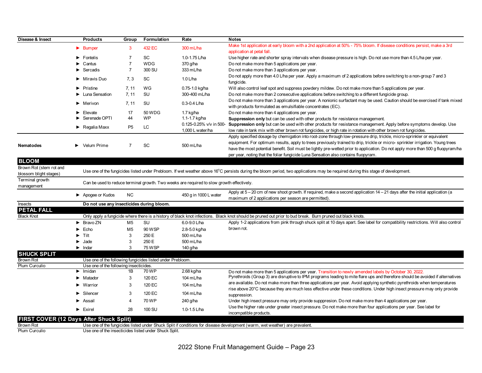| Disease & Insect                                  | <b>Products</b>                                       | Group          | Formulation                                                | Rate                                                                                      | <b>Notes</b>                                                                                                                                                                                                                                                                                                                                             |
|---------------------------------------------------|-------------------------------------------------------|----------------|------------------------------------------------------------|-------------------------------------------------------------------------------------------|----------------------------------------------------------------------------------------------------------------------------------------------------------------------------------------------------------------------------------------------------------------------------------------------------------------------------------------------------------|
|                                                   |                                                       |                |                                                            |                                                                                           | Make 1st application at early bloom with a 2nd application at 50% - 75% bloom. If disease conditions persist, make a 3rd                                                                                                                                                                                                                                 |
|                                                   | $\blacktriangleright$ Bumper                          | 3              | 432 EC                                                     | 300 mL/ha                                                                                 | application at petal fall.                                                                                                                                                                                                                                                                                                                               |
|                                                   | $\blacktriangleright$ Fontelis                        | $\overline{7}$ | <b>SC</b>                                                  | 1.0-1.75 L/ha                                                                             | Use higher rate and shorter spray intervals when disease pressure is high. Do not use more than 4.5 L/ha per year.                                                                                                                                                                                                                                       |
|                                                   | $\blacktriangleright$ Cantus                          | $\overline{7}$ | <b>WDG</b>                                                 | 370 g/ha                                                                                  | Do not make more than 5 applications per year.                                                                                                                                                                                                                                                                                                           |
|                                                   | Sercadis                                              | $\overline{7}$ | 300 SU                                                     | 333 mL/ha                                                                                 | Do not make more than 3 applications per year.                                                                                                                                                                                                                                                                                                           |
|                                                   | $\blacktriangleright$ Miravis Duo                     | 7.3            | <b>SC</b>                                                  | $1.0$ L/ha                                                                                | Do not apply more than 4.0 L/ha per year. Apply a maximum of 2 applications before switching to a non-group 7 and 3<br>fungicide.                                                                                                                                                                                                                        |
|                                                   | $\blacktriangleright$ Pristine                        | 7, 11          | WG                                                         | 0.75-1.0 kg/ha                                                                            | Will also control leaf spot and suppress powdery mildew. Do not make more than 5 applications per year.                                                                                                                                                                                                                                                  |
|                                                   | Luna Sensation                                        | 7, 11          | <b>SU</b>                                                  | 300-400 mL/ha                                                                             | Do not make more than 2 consecutive applications before switching to a different fungicide group.                                                                                                                                                                                                                                                        |
|                                                   | $\blacktriangleright$ Merivon                         | 7, 11          | SU                                                         | $0.3 - 0.4$ L/ha                                                                          | Do not make more than 3 applications per year. A nonionic surfactant may be used. Caution should be exercised if tank mixed                                                                                                                                                                                                                              |
|                                                   |                                                       |                | 50 WDG                                                     |                                                                                           | with products formulated as emulsifiable concentrates (EC).                                                                                                                                                                                                                                                                                              |
|                                                   | $\blacktriangleright$ Elevate<br>Serenade OPTI        | 17<br>44       | <b>WP</b>                                                  | 1.7 kg/ha<br>1.1-1.7 kg/ha                                                                | Do not make more than 4 applications per year.                                                                                                                                                                                                                                                                                                           |
|                                                   |                                                       |                |                                                            |                                                                                           | Suppression only but can be used with other products for resistance management.<br>0.125-0.25% v/v in 500- Suppression only but can be used with other products for resistance management. Apply before symptoms develop. Use                                                                                                                            |
|                                                   | $\blacktriangleright$ Regalia Maxx                    | P <sub>5</sub> | LC                                                         | 1,000 L water/ha                                                                          | low rate in tank mix with other brown rot fungicides, or high rate in rotation with other brown rot fungicides.                                                                                                                                                                                                                                          |
|                                                   |                                                       |                |                                                            |                                                                                           | Apply specified dosage by chemigation into root-zone through low-pressure drip, trickle, micro-sprinkler or equivalent                                                                                                                                                                                                                                   |
| Nematodes                                         | Velum Prime                                           | $\overline{7}$ | SC                                                         | 500 mL/ha                                                                                 | equipment. For optimum results, apply to trees previously trained to drip, trickle or micro- sprinkler irrigation. Young trees<br>have the most potential benefit. Soil must be lightly pre-wetted prior to application. Do not apply more than 500 g fluopyram/ha<br>per year, noting that the foliar fungicide Luna Sensation also contains fluopyram. |
| <b>BLOOM</b>                                      |                                                       |                |                                                            |                                                                                           |                                                                                                                                                                                                                                                                                                                                                          |
| Brown Rot (stem rot and<br>blossom blight stages) |                                                       |                |                                                            |                                                                                           | Use one of the fungicides listed under Prebloom. If wet weather above 16°C persists during the bloom period, two applications may be required during this stage of development.                                                                                                                                                                          |
| Terminal growth                                   |                                                       |                |                                                            | Can be used to reduce terminal growth. Two weeks are required to slow growth effectively. |                                                                                                                                                                                                                                                                                                                                                          |
| management                                        |                                                       |                |                                                            |                                                                                           |                                                                                                                                                                                                                                                                                                                                                          |
|                                                   | Apogee or Kudos                                       | NC.            |                                                            | 450 g in 1000 L water                                                                     | Apply at 5 - 20 cm of new shoot growth. If required, make a second application 14 - 21 days after the initial application (a<br>maximum of 2 applications per season are permitted).                                                                                                                                                                     |
| Insects                                           | Do not use any insecticides during bloom.             |                |                                                            |                                                                                           |                                                                                                                                                                                                                                                                                                                                                          |
| <b>PETAL FALL</b>                                 |                                                       |                |                                                            |                                                                                           |                                                                                                                                                                                                                                                                                                                                                          |
| <b>Black Knot</b>                                 |                                                       |                |                                                            |                                                                                           | Only apply a fungicide where there is a history of black knot infections. Black knot should be pruned out prior to bud break. Burn pruned out black knots.                                                                                                                                                                                               |
|                                                   | Bravo ZN<br>▶                                         | M5             | SU                                                         | $6.0 - 9.0$ L/ha                                                                          | Apply 1-2 applications from pink through shuck split at 10 days apart. See label for compatibility restrictions. Will also control                                                                                                                                                                                                                       |
|                                                   | Echo                                                  | M <sub>5</sub> | 90 WSP                                                     | 2.8-5.0 kg/ha                                                                             | brown rot.                                                                                                                                                                                                                                                                                                                                               |
|                                                   | Tilt                                                  | 3              | 250 E                                                      | 500 mL/ha                                                                                 |                                                                                                                                                                                                                                                                                                                                                          |
|                                                   | Jade                                                  | 3              | 250 E                                                      | 500 mL/ha                                                                                 |                                                                                                                                                                                                                                                                                                                                                          |
|                                                   | $\blacktriangleright$ Indar                           | 3              | <b>75 WSP</b>                                              | 140 g/ha                                                                                  |                                                                                                                                                                                                                                                                                                                                                          |
| <b>SHUCK SPLIT</b>                                |                                                       |                |                                                            |                                                                                           |                                                                                                                                                                                                                                                                                                                                                          |
| Brown Rot                                         |                                                       |                | Use one of the following fungicides listed under Prebloom. |                                                                                           |                                                                                                                                                                                                                                                                                                                                                          |
| Plum Curculio                                     | Use one of the following insecticides.                |                |                                                            |                                                                                           |                                                                                                                                                                                                                                                                                                                                                          |
|                                                   | $\blacktriangleright$ Imidan                          | 1B             | 70 WP                                                      | 2.68 kg/ha                                                                                | Do not make more than 5 applications per year. Transition to newly amended labels by October 30, 2022.                                                                                                                                                                                                                                                   |
|                                                   | $\blacktriangleright$ Matador                         | 3              | 120 EC                                                     | 104 mL/ha                                                                                 | Pyrethroids (Group 3) are disruptive to IPM programs leading to mite flare ups and therefore should be avoided if alternatives                                                                                                                                                                                                                           |
|                                                   | $\blacktriangleright$ Warrior                         | 3              | 120 EC                                                     | 104 mL/ha                                                                                 | are available. Do not make more than three applications per year. Avoid applying synthetic pyrethroids when temperatures                                                                                                                                                                                                                                 |
|                                                   | $\blacktriangleright$ Silencer                        | 3              | 120 EC                                                     | 104 mL/ha                                                                                 | rise above 20°C because they are much less effective under these conditions. Under high insect pressure may only provide                                                                                                                                                                                                                                 |
|                                                   |                                                       |                |                                                            |                                                                                           | suppression.                                                                                                                                                                                                                                                                                                                                             |
|                                                   | Assail                                                | $\overline{4}$ | 70 WP                                                      | 240 g/ha                                                                                  | Under high insect pressure may only provide supppresion. Do not make more than 4 applications per year.<br>Use the higher rate under greater insect pressure. Do not make more than four applications per year. See label for                                                                                                                            |
|                                                   | $\blacktriangleright$ Exirel                          | 28             | 100 SU                                                     | 1.0-1.5 $L/ha$                                                                            | incompatible products.                                                                                                                                                                                                                                                                                                                                   |
| FIRST COVER (12 Days After Shuck Split)           |                                                       |                |                                                            |                                                                                           |                                                                                                                                                                                                                                                                                                                                                          |
| <b>Brown Rot</b>                                  |                                                       |                |                                                            |                                                                                           | Use one of the fungicides listed under Shuck Split if conditions for disease development (warm, wet weather) are prevalent.                                                                                                                                                                                                                              |
| Plum Curculio                                     | Use one of the insecticides listed under Shuck Split. |                |                                                            |                                                                                           |                                                                                                                                                                                                                                                                                                                                                          |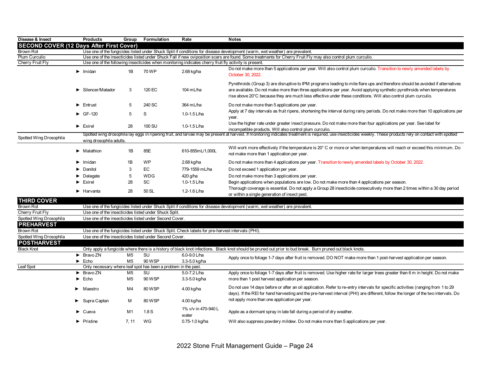| Disease & Insect                                | <b>Products</b>                                                | Group          | Formulation | Rate                                                                                                  | <b>Notes</b>                                                                                                                                                                                                                                                                                                                                                                |
|-------------------------------------------------|----------------------------------------------------------------|----------------|-------------|-------------------------------------------------------------------------------------------------------|-----------------------------------------------------------------------------------------------------------------------------------------------------------------------------------------------------------------------------------------------------------------------------------------------------------------------------------------------------------------------------|
| <b>SECOND COVER (12 Days After First Cover)</b> |                                                                |                |             |                                                                                                       |                                                                                                                                                                                                                                                                                                                                                                             |
| Brown Rot                                       |                                                                |                |             |                                                                                                       | Use one of the fungicides listed under Shuck Split if conditions for disease development (warm, wet weather) are prevalent.                                                                                                                                                                                                                                                 |
| Plum Curculio                                   |                                                                |                |             |                                                                                                       | Use one of the insecticides listed under Shuck Fall if new oviposition scars are found. Some treatments for Cherry Fruit Fly may also control plum curculio.                                                                                                                                                                                                                |
| Cherry Fruit Fly                                |                                                                |                |             | Use one of the following insecticides when monitoring indicates cherry fruit fly activity is present. |                                                                                                                                                                                                                                                                                                                                                                             |
|                                                 | $\blacktriangleright$ Imidan                                   | 1B             | 70 WP       | 2.68 kg/ha                                                                                            | Do not make more than 5 applications per year. Will also control plum curculio. Transition to newly amended labels by<br>October 30, 2022.                                                                                                                                                                                                                                  |
|                                                 | Silencer/Matador                                               | 3              | 120 EC      | 104 mL/ha                                                                                             | Pyrethroids (Group 3) are disruptive to IPM programs leading to mite flare ups and therefore should be avoided if alternatives<br>are available. Do not make more than three applications per year. Avoid applying synthetic pyrethroids when temperatures<br>rise above 20°C because they are much less effective under these conditions. Will also control plum curculio. |
|                                                 | $\blacktriangleright$ Entrust                                  | 5              | 240 SC      | 364 mL/ha                                                                                             | Do not make more than 5 applications per year.                                                                                                                                                                                                                                                                                                                              |
|                                                 | $\triangleright$ GF-120                                        | 5              | S           | 1.0-1.5 L/ha                                                                                          | Apply at 7 day intervals as fruit ripens, shortening the interval during rainy periods. Do not make more than 10 applications per<br>year.                                                                                                                                                                                                                                  |
|                                                 | $\blacktriangleright$ Exirel                                   | 28             | 100 SU      | 1.0-1.5 L/ha                                                                                          | Use the higher rate under greater insect pressure. Do not make more than four applications per year. See label for<br>incompatible products. Will also control plum curculio.                                                                                                                                                                                               |
| Spotted Wing Drosophila                         |                                                                |                |             |                                                                                                       | Spotted wing drosophila lay eggs in ripening fruit, and larvae may be present at harvest. If monitoring indicates treatment is required, use insecticides weekly. These products rely on contact with spotted                                                                                                                                                               |
|                                                 | wing drosophila adults.                                        |                |             |                                                                                                       |                                                                                                                                                                                                                                                                                                                                                                             |
|                                                 | $\blacktriangleright$ Malathion                                | 1B             | 85E         | 610-855mL/1,000L                                                                                      | Will work more effectively if the temperature is 20° C or more or when temperatures will reach or exceed this minimum. Do<br>not make more than 1 application per year.                                                                                                                                                                                                     |
|                                                 | $\blacktriangleright$ Imidan                                   | 1B             | <b>WP</b>   | 2.68 kg/ha                                                                                            | Do not make more than 4 applications per year. Transition to newly amended labels by October 30, 2022.                                                                                                                                                                                                                                                                      |
|                                                 | Danitol                                                        | 3              | EC          | 779-1559 mL/ha                                                                                        | Do not exceed 1 application per year.                                                                                                                                                                                                                                                                                                                                       |
|                                                 | Delegate                                                       | 5              | <b>WDG</b>  | 420 g/ha                                                                                              | Do not make more than 3 applications per year.                                                                                                                                                                                                                                                                                                                              |
|                                                 | $\blacktriangleright$ Exirel                                   | 28             | SC          | 1.0-1.5 L/ha                                                                                          | Begin applications when populations are low. Do not make more than 4 applications per season.                                                                                                                                                                                                                                                                               |
|                                                 | $\blacktriangleright$ Harvanta                                 | 28             | 50 SL       | 1.2-1.6 L/ha                                                                                          | Thorough coverage is essential. Do not apply a Group 28 insecticide consecutively more than 2 times within a 30 day period<br>or within a single generation of insect pest.                                                                                                                                                                                                 |
| <b>THIRD COVER</b>                              |                                                                |                |             |                                                                                                       |                                                                                                                                                                                                                                                                                                                                                                             |
| <b>Brown Rot</b>                                |                                                                |                |             |                                                                                                       | Use one of the fungicides listed under Shuck Split if conditions for disease development (warm, wet weather) are prevalent.                                                                                                                                                                                                                                                 |
| Cherry Fruit Fly                                | Use one of the insecticides listed under Shuck Split.          |                |             |                                                                                                       |                                                                                                                                                                                                                                                                                                                                                                             |
| Spotted Wing Drosophila                         | Use one of the insecticides listed under Second Cover.         |                |             |                                                                                                       |                                                                                                                                                                                                                                                                                                                                                                             |
| <b>PREHARVEST</b><br>Brown Rot                  |                                                                |                |             | Use one of the fungicides listed under Shuck Split. Check labels for pre-harvest intervals (PHI).     |                                                                                                                                                                                                                                                                                                                                                                             |
| Spotted Wing Drosophila                         | Use one of the insecticides listed under Second Cover.         |                |             |                                                                                                       |                                                                                                                                                                                                                                                                                                                                                                             |
| <b>POSTHARVEST</b>                              |                                                                |                |             |                                                                                                       |                                                                                                                                                                                                                                                                                                                                                                             |
| <b>Black Knot</b>                               |                                                                |                |             |                                                                                                       | Only apply a fungicide where there is a history of black knot infections. Black knot should be pruned out prior to bud break. Burn pruned out black knots.                                                                                                                                                                                                                  |
|                                                 | $\triangleright$ Bravo ZN                                      | M <sub>5</sub> | SU          | 6.0-9.0 L/ha                                                                                          | Apply once to foliage 1-7 days after fruit is removed. DO NOT make more than 1 post-harvest application per season.                                                                                                                                                                                                                                                         |
|                                                 | $\blacktriangleright$ Echo                                     | M <sub>5</sub> | 90 WSP      | 3.3-5.0 kg/ha                                                                                         |                                                                                                                                                                                                                                                                                                                                                                             |
| Leaf Spot                                       | Only necessary where leaf spot has been a problem in the past. |                |             |                                                                                                       |                                                                                                                                                                                                                                                                                                                                                                             |
|                                                 | $\blacktriangleright$ Bravo ZN                                 | M5             | SU          | 5.0-7.2 L/ha                                                                                          | Apply once to foliage 1-7 days after fruit is removed. Use higher rate for larger trees greater than 6 m in height. Do not make                                                                                                                                                                                                                                             |
|                                                 | $\blacktriangleright$ Echo                                     | M5             | 90 WSP      | 3.3-5.0 kg/ha                                                                                         | more than 1 post harvest application per season.                                                                                                                                                                                                                                                                                                                            |
|                                                 | $\blacktriangleright$ Maestro                                  | M4             | 80 WSP      | 4.00 kg/ha                                                                                            | Do not use 14 days before or after an oil application. Refer to re-entry intervals for specific activities (ranging from 1 to 29<br>days). If the REI for hand harvesting and the pre-harvest interval (PHI) are different, follow the longer of the two intervals. Do                                                                                                      |
|                                                 | $\blacktriangleright$ Supra Captan                             | м              | 80 WSP      | 4.00 kg/ha                                                                                            | not apply more than one application per year.                                                                                                                                                                                                                                                                                                                               |
|                                                 | Cueva                                                          | M1             | 1.8S        | 1% v/v in 470-940 L<br>water                                                                          | Apple as a dormant spray in late fall during a period of dry weather.                                                                                                                                                                                                                                                                                                       |
|                                                 | $\blacktriangleright$ Pristine                                 | 7.11           | WG          | 0.75-1.0 kg/ha                                                                                        | Will also suppress powdery mildew. Do not make more than 5 applications per year.                                                                                                                                                                                                                                                                                           |